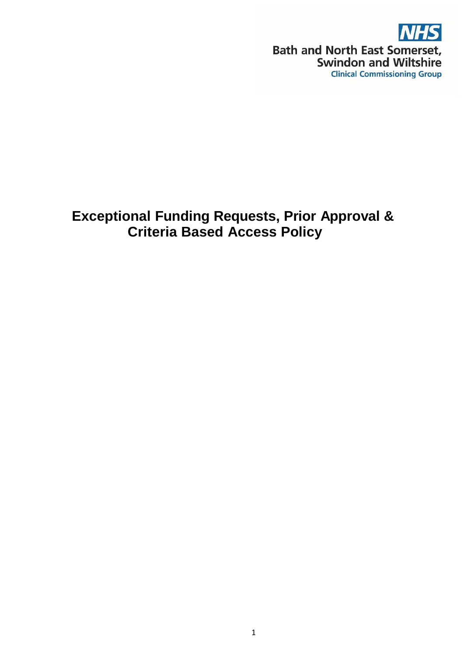

# **Exceptional Funding Requests, Prior Approval & Criteria Based Access Policy**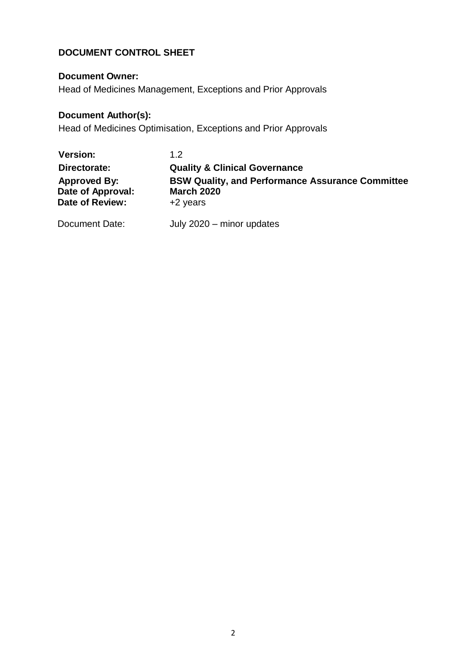## **DOCUMENT CONTROL SHEET**

## **Document Owner:**

Head of Medicines Management, Exceptions and Prior Approvals

## **Document Author(s):**

Head of Medicines Optimisation, Exceptions and Prior Approvals

| <b>Version:</b>                                                    | 1.2                                                                                      |
|--------------------------------------------------------------------|------------------------------------------------------------------------------------------|
| Directorate:                                                       | <b>Quality &amp; Clinical Governance</b>                                                 |
| <b>Approved By:</b><br>Date of Approval:<br><b>Date of Review:</b> | <b>BSW Quality, and Performance Assurance Committee</b><br><b>March 2020</b><br>+2 years |
| Document Date:                                                     | July 2020 - minor updates                                                                |

2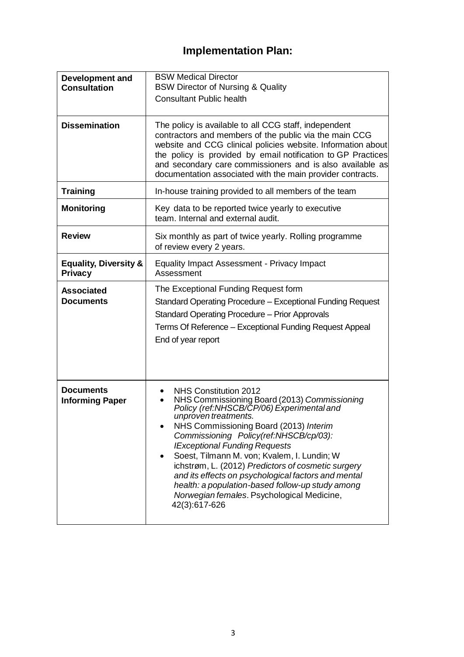# **Implementation Plan:**

| <b>Development and</b><br><b>Consultation</b> | <b>BSW Medical Director</b><br><b>BSW Director of Nursing &amp; Quality</b><br><b>Consultant Public health</b>                                                                                                                                                                                                                                                                                                                                                                                                                                             |  |  |  |  |
|-----------------------------------------------|------------------------------------------------------------------------------------------------------------------------------------------------------------------------------------------------------------------------------------------------------------------------------------------------------------------------------------------------------------------------------------------------------------------------------------------------------------------------------------------------------------------------------------------------------------|--|--|--|--|
| <b>Dissemination</b>                          | The policy is available to all CCG staff, independent<br>contractors and members of the public via the main CCG<br>website and CCG clinical policies website. Information about<br>the policy is provided by email notification to GP Practices<br>and secondary care commissioners and is also available as<br>documentation associated with the main provider contracts.                                                                                                                                                                                 |  |  |  |  |
| <b>Training</b>                               | In-house training provided to all members of the team                                                                                                                                                                                                                                                                                                                                                                                                                                                                                                      |  |  |  |  |
| <b>Monitoring</b>                             | Key data to be reported twice yearly to executive<br>team. Internal and external audit.                                                                                                                                                                                                                                                                                                                                                                                                                                                                    |  |  |  |  |
| <b>Review</b>                                 | Six monthly as part of twice yearly. Rolling programme<br>of review every 2 years.                                                                                                                                                                                                                                                                                                                                                                                                                                                                         |  |  |  |  |
| <b>Equality, Diversity &amp;</b><br>Privacy   | Equality Impact Assessment - Privacy Impact<br>Assessment                                                                                                                                                                                                                                                                                                                                                                                                                                                                                                  |  |  |  |  |
| <b>Associated</b><br><b>Documents</b>         | The Exceptional Funding Request form<br>Standard Operating Procedure - Exceptional Funding Request<br><b>Standard Operating Procedure - Prior Approvals</b><br>Terms Of Reference - Exceptional Funding Request Appeal<br>End of year report                                                                                                                                                                                                                                                                                                               |  |  |  |  |
| <b>Documents</b><br><b>Informing Paper</b>    | NHS Constitution 2012<br>NHS Commissioning Board (2013) Commissioning<br>Policy (ref:NHSCB/CP/06) Experimental and<br>unproven treatments.<br>NHS Commissioning Board (2013) Interim<br>Commissioning Policy(ref:NHSCB/cp/03):<br><b>IExceptional Funding Requests</b><br>Soest, Tilmann M. von; Kvalem, I. Lundin; W<br>٠<br>ichstrøm, L. (2012) Predictors of cosmetic surgery<br>and its effects on psychological factors and mental<br>health: a population-based follow-up study among<br>Norwegian females. Psychological Medicine,<br>42(3):617-626 |  |  |  |  |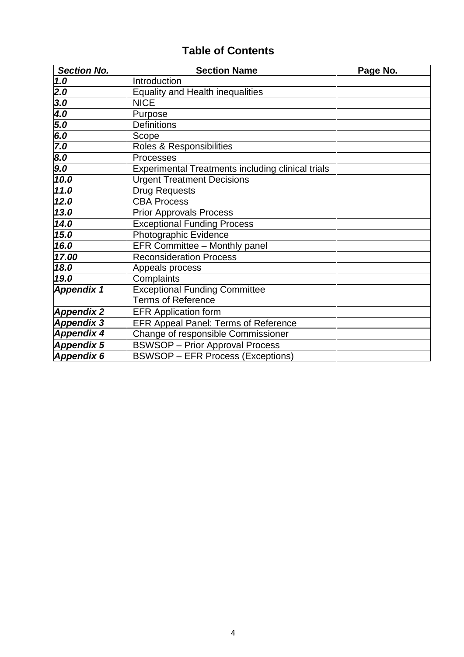## **Table of Contents**

| <b>Section No.</b> | <b>Section Name</b>                                      | Page No. |
|--------------------|----------------------------------------------------------|----------|
| 1.0                | Introduction                                             |          |
| $\overline{2.0}$   | <b>Equality and Health inequalities</b>                  |          |
| 3.0                | <b>NICE</b>                                              |          |
| $\overline{4.0}$   | Purpose                                                  |          |
| $\frac{5.0}{6.0}$  | <b>Definitions</b>                                       |          |
|                    | Scope                                                    |          |
| 7.0                | Roles & Responsibilities                                 |          |
| 8.0                | Processes                                                |          |
| 9.0                | <b>Experimental Treatments including clinical trials</b> |          |
| 10.0               | <b>Urgent Treatment Decisions</b>                        |          |
| 11.0               | <b>Drug Requests</b>                                     |          |
| 12.0               | <b>CBA Process</b>                                       |          |
| 13.0               | <b>Prior Approvals Process</b>                           |          |
| 14.0               | <b>Exceptional Funding Process</b>                       |          |
| 15.0               | Photographic Evidence                                    |          |
| 16.0               | EFR Committee - Monthly panel                            |          |
| 17.00              | <b>Reconsideration Process</b>                           |          |
| 18.0               | Appeals process                                          |          |
| 19.0               | Complaints                                               |          |
| Appendix 1         | <b>Exceptional Funding Committee</b>                     |          |
|                    | <b>Terms of Reference</b>                                |          |
| <b>Appendix 2</b>  | <b>EFR Application form</b>                              |          |
| <b>Appendix 3</b>  | <b>EFR Appeal Panel: Terms of Reference</b>              |          |
| Appendix 4         | Change of responsible Commissioner                       |          |
| <b>Appendix 5</b>  | <b>BSWSOP</b> - Prior Approval Process                   |          |
| Appendix 6         | <b>BSWSOP - EFR Process (Exceptions)</b>                 |          |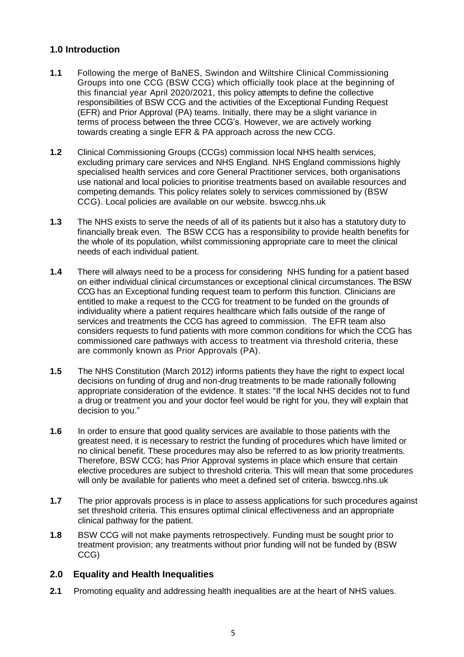### **1.0 Introduction**

- **1.1** Following the merge of BaNES, Swindon and Wiltshire Clinical Commissioning Groups into one CCG (BSW CCG) which officially took place at the beginning of this financial year April 2020/2021, this policy attempts to define the collective responsibilities of BSW CCG and the activities of the Exceptional Funding Request (EFR) and Prior Approval (PA) teams. Initially, there may be a slight variance in terms of process between the three CCG's. However, we are actively working towards creating a single EFR & PA approach across the new CCG.
- **1.2** Clinical Commissioning Groups (CCGs) commission local NHS health services, excluding primary care services and NHS England. NHS England commissions highly specialised health services and core General Practitioner services, both organisations use national and local policies to prioritise treatments based on available resources and competing demands. This policy relates solely to services commissioned by (BSW CCG). Local policies are available on our website. bswccg.nhs.uk
- **1.3** The NHS exists to serve the needs of all of its patients but it also has a statutory duty to financially break even. The BSW CCG has a responsibility to provide health benefits for the whole of its population, whilst commissioning appropriate care to meet the clinical needs of each individual patient.
- **1.4** There will always need to be a process for considering NHS funding for a patient based on either individual clinical circumstances or exceptional clinical circumstances. The BSW CCG has an Exceptional funding request team to perform this function. Clinicians are entitled to make a request to the CCG for treatment to be funded on the grounds of individuality where a patient requires healthcare which falls outside of the range of services and treatments the CCG has agreed to commission. The EFR team also considers requests to fund patients with more common conditions for which the CCG has commissioned care pathways with access to treatment via threshold criteria, these are commonly known as Prior Approvals (PA).
- **1.5** The NHS Constitution (March 2012) informs patients they have the right to expect local decisions on funding of drug and non-drug treatments to be made rationally following appropriate consideration of the evidence. It states: "If the local NHS decides not to fund a drug or treatment you and your doctor feel would be right for you, they will explain that decision to you."
- **1.6** In order to ensure that good quality services are available to those patients with the greatest need, it is necessary to restrict the funding of procedures which have limited or no clinical benefit. These procedures may also be referred to as low priority treatments. Therefore, BSW CCG; has Prior Approval systems in place which ensure that certain elective procedures are subject to threshold criteria. This will mean that some procedures will only be available for patients who meet a defined set of criteria. bswccg.nhs.uk
- **1.7** The prior approvals process is in place to assess applications for such procedures against set threshold criteria. This ensures optimal clinical effectiveness and an appropriate clinical pathway for the patient.
- **1.8** BSW CCG will not make payments retrospectively. Funding must be sought prior to treatment provision; any treatments without prior funding will not be funded by (BSW CCG)

#### **2.0 Equality and Health Inequalities**

**2.1** Promoting equality and addressing health inequalities are at the heart of NHS values.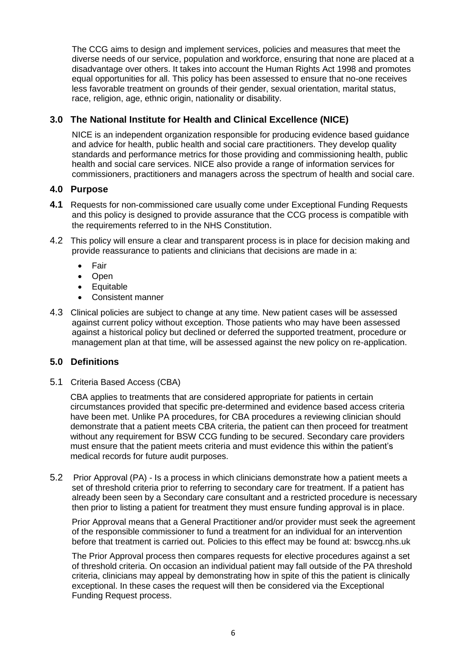The CCG aims to design and implement services, policies and measures that meet the diverse needs of our service, population and workforce, ensuring that none are placed at a disadvantage over others. It takes into account the Human Rights Act 1998 and promotes equal opportunities for all. This policy has been assessed to ensure that no-one receives less favorable treatment on grounds of their gender, sexual orientation, marital status, race, religion, age, ethnic origin, nationality or disability.

## **3.0 The National Institute for Health and Clinical Excellence (NICE)**

NICE is an independent organization responsible for producing evidence based guidance and advice for health, public health and social care practitioners. They develop quality standards and performance metrics for those providing and commissioning health, public health and social care services. NICE also provide a range of information services for commissioners, practitioners and managers across the spectrum of health and social care.

### **4.0 Purpose**

- **4.1** Requests for non-commissioned care usually come under Exceptional Funding Requests and this policy is designed to provide assurance that the CCG process is compatible with the requirements referred to in the NHS Constitution.
- 4.2 This policy will ensure a clear and transparent process is in place for decision making and provide reassurance to patients and clinicians that decisions are made in a:
	- Fair
	- Open
	- **Equitable**
	- Consistent manner
- 4.3 Clinical policies are subject to change at any time. New patient cases will be assessed against current policy without exception. Those patients who may have been assessed against a historical policy but declined or deferred the supported treatment, procedure or management plan at that time, will be assessed against the new policy on re-application.

#### **5.0 Definitions**

5.1 Criteria Based Access (CBA)

CBA applies to treatments that are considered appropriate for patients in certain circumstances provided that specific pre-determined and evidence based access criteria have been met. Unlike PA procedures, for CBA procedures a reviewing clinician should demonstrate that a patient meets CBA criteria, the patient can then proceed for treatment without any requirement for BSW CCG funding to be secured. Secondary care providers must ensure that the patient meets criteria and must evidence this within the patient's medical records for future audit purposes.

5.2 Prior Approval (PA) - Is a process in which clinicians demonstrate how a patient meets a set of threshold criteria prior to referring to secondary care for treatment. If a patient has already been seen by a Secondary care consultant and a restricted procedure is necessary then prior to listing a patient for treatment they must ensure funding approval is in place.

Prior Approval means that a General Practitioner and/or provider must seek the agreement of the responsible commissioner to fund a treatment for an individual for an intervention before that treatment is carried out. Policies to this effect may be found at: bswccg.nhs.uk

The Prior Approval process then compares requests for elective procedures against a set of threshold criteria. On occasion an individual patient may fall outside of the PA threshold criteria, clinicians may appeal by demonstrating how in spite of this the patient is clinically exceptional. In these cases the request will then be considered via the Exceptional Funding Request process.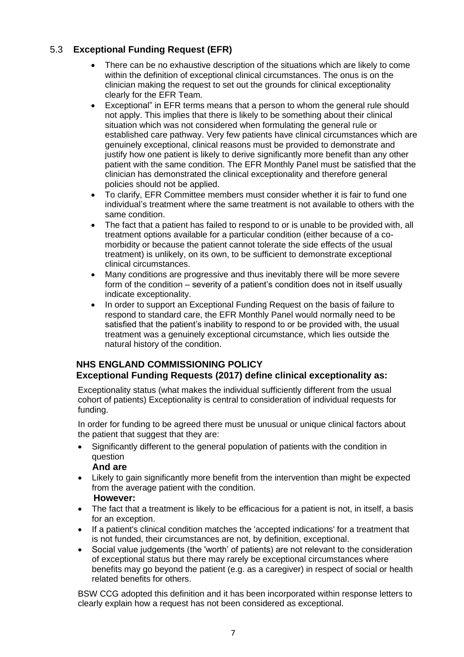## 5.3 **Exceptional Funding Request (EFR)**

- There can be no exhaustive description of the situations which are likely to come within the definition of exceptional clinical circumstances. The onus is on the clinician making the request to set out the grounds for clinical exceptionality clearly for the EFR Team.
- Exceptional" in EFR terms means that a person to whom the general rule should not apply. This implies that there is likely to be something about their clinical situation which was not considered when formulating the general rule or established care pathway. Very few patients have clinical circumstances which are genuinely exceptional, clinical reasons must be provided to demonstrate and justify how one patient is likely to derive significantly more benefit than any other patient with the same condition. The EFR Monthly Panel must be satisfied that the clinician has demonstrated the clinical exceptionality and therefore general policies should not be applied.
- To clarify, EFR Committee members must consider whether it is fair to fund one individual's treatment where the same treatment is not available to others with the same condition.
- The fact that a patient has failed to respond to or is unable to be provided with, all treatment options available for a particular condition (either because of a comorbidity or because the patient cannot tolerate the side effects of the usual treatment) is unlikely, on its own, to be sufficient to demonstrate exceptional clinical circumstances.
- Many conditions are progressive and thus inevitably there will be more severe form of the condition – severity of a patient's condition does not in itself usually indicate exceptionality.
- In order to support an Exceptional Funding Request on the basis of failure to respond to standard care, the EFR Monthly Panel would normally need to be satisfied that the patient's inability to respond to or be provided with, the usual treatment was a genuinely exceptional circumstance, which lies outside the natural history of the condition.

### **NHS ENGLAND COMMISSIONING POLICY Exceptional Funding Requests (2017) define clinical exceptionality as:**

Exceptionality status (what makes the individual sufficiently different from the usual cohort of patients) Exceptionality is central to consideration of individual requests for funding.

In order for funding to be agreed there must be unusual or unique clinical factors about the patient that suggest that they are:

• Significantly different to the general population of patients with the condition in question

#### **And are**

• Likely to gain significantly more benefit from the intervention than might be expected from the average patient with the condition.

#### **However:**

- The fact that a treatment is likely to be efficacious for a patient is not, in itself, a basis for an exception.
- If a patient's clinical condition matches the 'accepted indications' for a treatment that is not funded, their circumstances are not, by definition, exceptional.
- Social value judgements (the 'worth' of patients) are not relevant to the consideration of exceptional status but there may rarely be exceptional circumstances where benefits may go beyond the patient (e.g. as a caregiver) in respect of social or health related benefits for others.

BSW CCG adopted this definition and it has been incorporated within response letters to clearly explain how a request has not been considered as exceptional.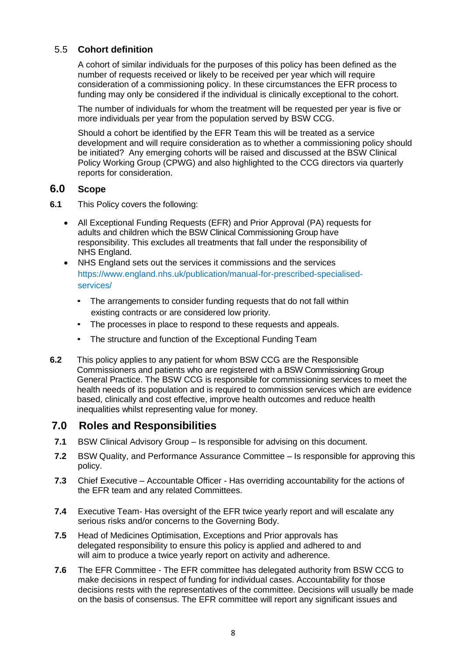#### 5.5 **Cohort definition**

A cohort of similar individuals for the purposes of this policy has been defined as the number of requests received or likely to be received per year which will require consideration of a commissioning policy. In these circumstances the EFR process to funding may only be considered if the individual is clinically exceptional to the cohort.

The number of individuals for whom the treatment will be requested per year is five or more individuals per year from the population served by BSW CCG.

Should a cohort be identified by the EFR Team this will be treated as a service development and will require consideration as to whether a commissioning policy should be initiated? Any emerging cohorts will be raised and discussed at the BSW Clinical Policy Working Group (CPWG) and also highlighted to the CCG directors via quarterly reports for consideration.

### **6.0 Scope**

- **6.1** This Policy covers the following:
	- All Exceptional Funding Requests (EFR) and Prior Approval (PA) requests for adults and children which the BSW Clinical Commissioning Group have responsibility. This excludes all treatments that fall under the responsibility of NHS England.
	- NHS England sets out the services it commissions and the services https://www.england.nhs.uk/publication/manual-for-prescribed-specialisedservices/
		- The arrangements to consider funding requests that do not fall within existing contracts or are considered low priority.
		- The processes in place to respond to these requests and appeals.
		- The structure and function of the Exceptional Funding Team
- **6.2** This policy applies to any patient for whom BSW CCG are the Responsible Commissioners and patients who are registered with a BSW Commissioning Group General Practice. The BSW CCG is responsible for commissioning services to meet the health needs of its population and is required to commission services which are evidence based, clinically and cost effective, improve health outcomes and reduce health inequalities whilst representing value for money.

## **7.0 Roles and Responsibilities**

- **7.1** BSW Clinical Advisory Group Is responsible for advising on this document.
- **7.2** BSW Quality, and Performance Assurance Committee Is responsible for approving this policy.
- **7.3** Chief Executive Accountable Officer Has overriding accountability for the actions of the EFR team and any related Committees.
- **7.4** Executive Team- Has oversight of the EFR twice yearly report and will escalate any serious risks and/or concerns to the Governing Body.
- **7.5** Head of Medicines Optimisation, Exceptions and Prior approvals has delegated responsibility to ensure this policy is applied and adhered to and will aim to produce a twice yearly report on activity and adherence.
- **7.6** The EFR Committee The EFR committee has delegated authority from BSW CCG to make decisions in respect of funding for individual cases. Accountability for those decisions rests with the representatives of the committee. Decisions will usually be made on the basis of consensus. The EFR committee will report any significant issues and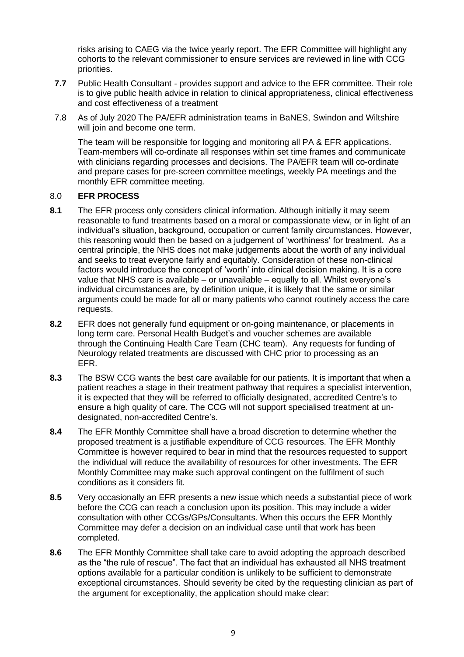risks arising to CAEG via the twice yearly report. The EFR Committee will highlight any cohorts to the relevant commissioner to ensure services are reviewed in line with CCG priorities.

- **7.7** Public Health Consultant provides support and advice to the EFR committee. Their role is to give public health advice in relation to clinical appropriateness, clinical effectiveness and cost effectiveness of a treatment
- 7.8 As of July 2020 The PA/EFR administration teams in BaNES, Swindon and Wiltshire will join and become one term.

The team will be responsible for logging and monitoring all PA & EFR applications. Team-members will co-ordinate all responses within set time frames and communicate with clinicians regarding processes and decisions. The PA/EFR team will co-ordinate and prepare cases for pre-screen committee meetings, weekly PA meetings and the monthly EFR committee meeting.

#### 8.0 **EFR PROCESS**

- **8.1** The EFR process only considers clinical information. Although initially it may seem reasonable to fund treatments based on a moral or compassionate view, or in light of an individual's situation, background, occupation or current family circumstances. However, this reasoning would then be based on a judgement of 'worthiness' for treatment. As a central principle, the NHS does not make judgements about the worth of any individual and seeks to treat everyone fairly and equitably. Consideration of these non-clinical factors would introduce the concept of 'worth' into clinical decision making. It is a core value that NHS care is available – or unavailable – equally to all. Whilst everyone's individual circumstances are, by definition unique, it is likely that the same or similar arguments could be made for all or many patients who cannot routinely access the care requests.
- **8.2** EFR does not generally fund equipment or on-going maintenance, or placements in long term care. Personal Health Budget's and voucher schemes are available through the Continuing Health Care Team (CHC team). Any requests for funding of Neurology related treatments are discussed with CHC prior to processing as an EFR.
- **8.3** The BSW CCG wants the best care available for our patients. It is important that when a patient reaches a stage in their treatment pathway that requires a specialist intervention, it is expected that they will be referred to officially designated, accredited Centre's to ensure a high quality of care. The CCG will not support specialised treatment at undesignated, non-accredited Centre's.
- **8.4** The EFR Monthly Committee shall have a broad discretion to determine whether the proposed treatment is a justifiable expenditure of CCG resources. The EFR Monthly Committee is however required to bear in mind that the resources requested to support the individual will reduce the availability of resources for other investments. The EFR Monthly Committee may make such approval contingent on the fulfilment of such conditions as it considers fit.
- **8.5** Very occasionally an EFR presents a new issue which needs a substantial piece of work before the CCG can reach a conclusion upon its position. This may include a wider consultation with other CCGs/GPs/Consultants. When this occurs the EFR Monthly Committee may defer a decision on an individual case until that work has been completed.
- **8.6** The EFR Monthly Committee shall take care to avoid adopting the approach described as the "the rule of rescue". The fact that an individual has exhausted all NHS treatment options available for a particular condition is unlikely to be sufficient to demonstrate exceptional circumstances. Should severity be cited by the requesting clinician as part of the argument for exceptionality, the application should make clear: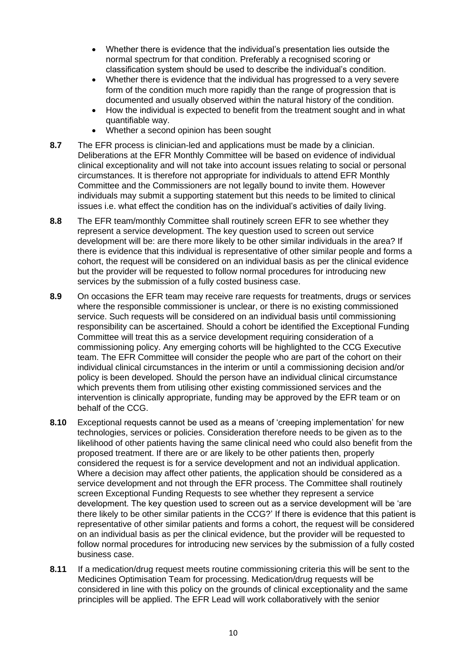- Whether there is evidence that the individual's presentation lies outside the normal spectrum for that condition. Preferably a recognised scoring or classification system should be used to describe the individual's condition.
- Whether there is evidence that the individual has progressed to a very severe form of the condition much more rapidly than the range of progression that is documented and usually observed within the natural history of the condition.
- How the individual is expected to benefit from the treatment sought and in what quantifiable way.
- Whether a second opinion has been sought
- **8.7** The EFR process is clinician-led and applications must be made by a clinician. Deliberations at the EFR Monthly Committee will be based on evidence of individual clinical exceptionality and will not take into account issues relating to social or personal circumstances. It is therefore not appropriate for individuals to attend EFR Monthly Committee and the Commissioners are not legally bound to invite them. However individuals may submit a supporting statement but this needs to be limited to clinical issues i.e. what effect the condition has on the individual's activities of daily living.
- **8.8** The EFR team/monthly Committee shall routinely screen EFR to see whether they represent a service development. The key question used to screen out service development will be: are there more likely to be other similar individuals in the area? If there is evidence that this individual is representative of other similar people and forms a cohort, the request will be considered on an individual basis as per the clinical evidence but the provider will be requested to follow normal procedures for introducing new services by the submission of a fully costed business case.
- **8.9** On occasions the EFR team may receive rare requests for treatments, drugs or services where the responsible commissioner is unclear, or there is no existing commissioned service. Such requests will be considered on an individual basis until commissioning responsibility can be ascertained. Should a cohort be identified the Exceptional Funding Committee will treat this as a service development requiring consideration of a commissioning policy. Any emerging cohorts will be highlighted to the CCG Executive team. The EFR Committee will consider the people who are part of the cohort on their individual clinical circumstances in the interim or until a commissioning decision and/or policy is been developed. Should the person have an individual clinical circumstance which prevents them from utilising other existing commissioned services and the intervention is clinically appropriate, funding may be approved by the EFR team or on behalf of the CCG.
- **8.10** Exceptional requests cannot be used as a means of 'creeping implementation' for new technologies, services or policies. Consideration therefore needs to be given as to the likelihood of other patients having the same clinical need who could also benefit from the proposed treatment. If there are or are likely to be other patients then, properly considered the request is for a service development and not an individual application. Where a decision may affect other patients, the application should be considered as a service development and not through the EFR process. The Committee shall routinely screen Exceptional Funding Requests to see whether they represent a service development. The key question used to screen out as a service development will be 'are there likely to be other similar patients in the CCG?' If there is evidence that this patient is representative of other similar patients and forms a cohort, the request will be considered on an individual basis as per the clinical evidence, but the provider will be requested to follow normal procedures for introducing new services by the submission of a fully costed business case.
- **8.11** If a medication/drug request meets routine commissioning criteria this will be sent to the Medicines Optimisation Team for processing. Medication/drug requests will be considered in line with this policy on the grounds of clinical exceptionality and the same principles will be applied. The EFR Lead will work collaboratively with the senior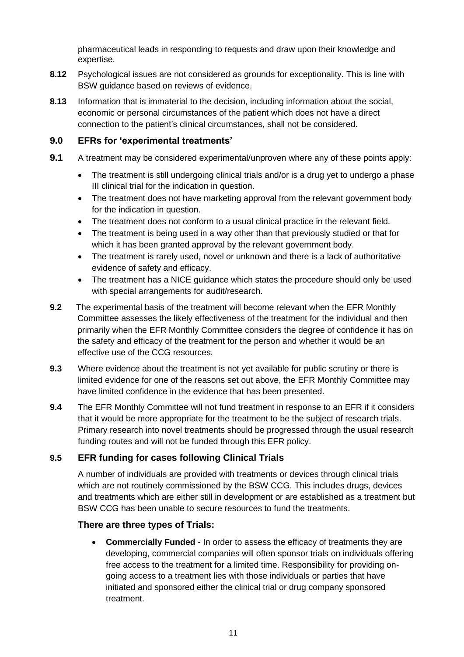pharmaceutical leads in responding to requests and draw upon their knowledge and expertise.

- **8.12** Psychological issues are not considered as grounds for exceptionality. This is line with BSW guidance based on reviews of evidence.
- **8.13** Information that is immaterial to the decision, including information about the social, economic or personal circumstances of the patient which does not have a direct connection to the patient's clinical circumstances, shall not be considered.

#### **9.0 EFRs for 'experimental treatments'**

- **9.1** A treatment may be considered experimental/unproven where any of these points apply:
	- The treatment is still undergoing clinical trials and/or is a drug yet to undergo a phase III clinical trial for the indication in question.
	- The treatment does not have marketing approval from the relevant government body for the indication in question.
	- The treatment does not conform to a usual clinical practice in the relevant field.
	- The treatment is being used in a way other than that previously studied or that for which it has been granted approval by the relevant government body.
	- The treatment is rarely used, novel or unknown and there is a lack of authoritative evidence of safety and efficacy.
	- The treatment has a NICE quidance which states the procedure should only be used with special arrangements for audit/research.
- **9.2** The experimental basis of the treatment will become relevant when the EFR Monthly Committee assesses the likely effectiveness of the treatment for the individual and then primarily when the EFR Monthly Committee considers the degree of confidence it has on the safety and efficacy of the treatment for the person and whether it would be an effective use of the CCG resources.
- **9.3** Where evidence about the treatment is not yet available for public scrutiny or there is limited evidence for one of the reasons set out above, the EFR Monthly Committee may have limited confidence in the evidence that has been presented.
- **9.4** The EFR Monthly Committee will not fund treatment in response to an EFR if it considers that it would be more appropriate for the treatment to be the subject of research trials. Primary research into novel treatments should be progressed through the usual research funding routes and will not be funded through this EFR policy.

#### **9.5 EFR funding for cases following Clinical Trials**

A number of individuals are provided with treatments or devices through clinical trials which are not routinely commissioned by the BSW CCG. This includes drugs, devices and treatments which are either still in development or are established as a treatment but BSW CCG has been unable to secure resources to fund the treatments.

#### **There are three types of Trials:**

• **Commercially Funded** - In order to assess the efficacy of treatments they are developing, commercial companies will often sponsor trials on individuals offering free access to the treatment for a limited time. Responsibility for providing ongoing access to a treatment lies with those individuals or parties that have initiated and sponsored either the clinical trial or drug company sponsored treatment.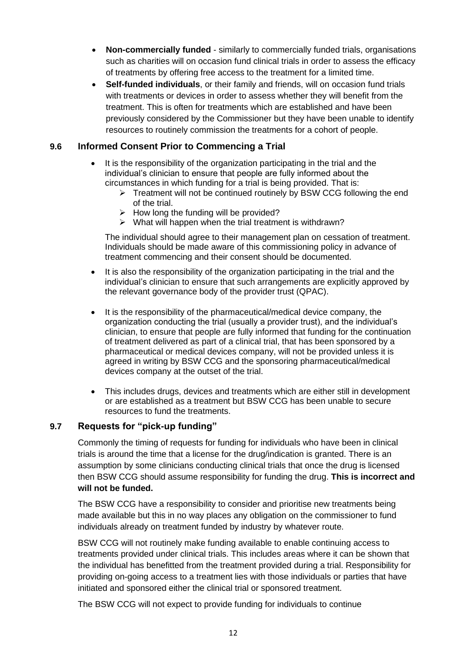- **Non-commercially funded** similarly to commercially funded trials, organisations such as charities will on occasion fund clinical trials in order to assess the efficacy of treatments by offering free access to the treatment for a limited time.
- **Self-funded individuals**, or their family and friends, will on occasion fund trials with treatments or devices in order to assess whether they will benefit from the treatment. This is often for treatments which are established and have been previously considered by the Commissioner but they have been unable to identify resources to routinely commission the treatments for a cohort of people.

## **9.6 Informed Consent Prior to Commencing a Trial**

- It is the responsibility of the organization participating in the trial and the individual's clinician to ensure that people are fully informed about the circumstances in which funding for a trial is being provided. That is:
	- ➢ Treatment will not be continued routinely by BSW CCG following the end of the trial.
	- $\triangleright$  How long the funding will be provided?
	- ➢ What will happen when the trial treatment is withdrawn?

The individual should agree to their management plan on cessation of treatment. Individuals should be made aware of this commissioning policy in advance of treatment commencing and their consent should be documented.

- It is also the responsibility of the organization participating in the trial and the individual's clinician to ensure that such arrangements are explicitly approved by the relevant governance body of the provider trust (QPAC).
- It is the responsibility of the pharmaceutical/medical device company, the organization conducting the trial (usually a provider trust), and the individual's clinician, to ensure that people are fully informed that funding for the continuation of treatment delivered as part of a clinical trial, that has been sponsored by a pharmaceutical or medical devices company, will not be provided unless it is agreed in writing by BSW CCG and the sponsoring pharmaceutical/medical devices company at the outset of the trial.
- This includes drugs, devices and treatments which are either still in development or are established as a treatment but BSW CCG has been unable to secure resources to fund the treatments.

#### **9.7 Requests for "pick-up funding"**

Commonly the timing of requests for funding for individuals who have been in clinical trials is around the time that a license for the drug/indication is granted. There is an assumption by some clinicians conducting clinical trials that once the drug is licensed then BSW CCG should assume responsibility for funding the drug. **This is incorrect and will not be funded.**

The BSW CCG have a responsibility to consider and prioritise new treatments being made available but this in no way places any obligation on the commissioner to fund individuals already on treatment funded by industry by whatever route.

BSW CCG will not routinely make funding available to enable continuing access to treatments provided under clinical trials. This includes areas where it can be shown that the individual has benefitted from the treatment provided during a trial. Responsibility for providing on-going access to a treatment lies with those individuals or parties that have initiated and sponsored either the clinical trial or sponsored treatment.

The BSW CCG will not expect to provide funding for individuals to continue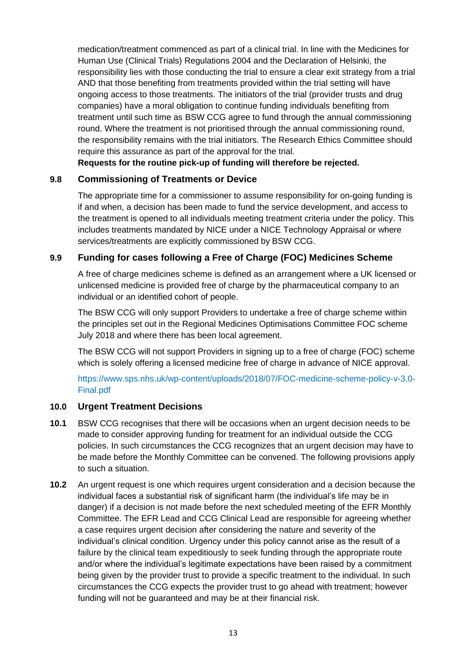medication/treatment commenced as part of a clinical trial. In line with the Medicines for Human Use (Clinical Trials) Regulations 2004 and the Declaration of Helsinki, the responsibility lies with those conducting the trial to ensure a clear exit strategy from a trial AND that those benefiting from treatments provided within the trial setting will have ongoing access to those treatments. The initiators of the trial (provider trusts and drug companies) have a moral obligation to continue funding individuals benefiting from treatment until such time as BSW CCG agree to fund through the annual commissioning round. Where the treatment is not prioritised through the annual commissioning round, the responsibility remains with the trial initiators. The Research Ethics Committee should require this assurance as part of the approval for the trial.

**Requests for the routine pick-up of funding will therefore be rejected.**

#### **9.8 Commissioning of Treatments or Device**

The appropriate time for a commissioner to assume responsibility for on-going funding is if and when, a decision has been made to fund the service development, and access to the treatment is opened to all individuals meeting treatment criteria under the policy. This includes treatments mandated by NICE under a NICE Technology Appraisal or where services/treatments are explicitly commissioned by BSW CCG.

## **9.9 Funding for cases following a Free of Charge (FOC) Medicines Scheme**

A free of charge medicines scheme is defined as an arrangement where a UK licensed or unlicensed medicine is provided free of charge by the pharmaceutical company to an individual or an identified cohort of people.

The BSW CCG will only support Providers to undertake a free of charge scheme within the principles set out in the Regional Medicines Optimisations Committee FOC scheme July 2018 and where there has been local agreement.

The BSW CCG will not support Providers in signing up to a free of charge (FOC) scheme which is solely offering a licensed medicine free of charge in advance of NICE approval.

https://www.sps.nhs.uk/wp-content/uploads/2018/07/FOC-medicine-scheme-policy-v-3.0- Final.pdf

#### **10.0 Urgent Treatment Decisions**

- **10.1** BSW CCG recognises that there will be occasions when an urgent decision needs to be made to consider approving funding for treatment for an individual outside the CCG policies. In such circumstances the CCG recognizes that an urgent decision may have to be made before the Monthly Committee can be convened. The following provisions apply to such a situation.
- **10.2** An urgent request is one which requires urgent consideration and a decision because the individual faces a substantial risk of significant harm (the individual's life may be in danger) if a decision is not made before the next scheduled meeting of the EFR Monthly Committee. The EFR Lead and CCG Clinical Lead are responsible for agreeing whether a case requires urgent decision after considering the nature and severity of the individual's clinical condition. Urgency under this policy cannot arise as the result of a failure by the clinical team expeditiously to seek funding through the appropriate route and/or where the individual's legitimate expectations have been raised by a commitment being given by the provider trust to provide a specific treatment to the individual. In such circumstances the CCG expects the provider trust to go ahead with treatment; however funding will not be guaranteed and may be at their financial risk.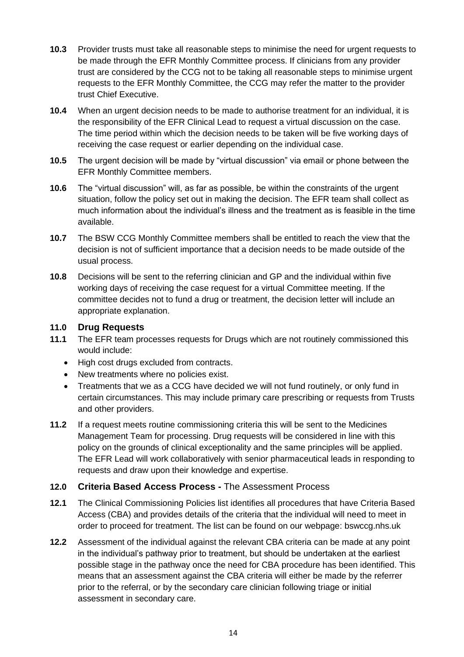- **10.3** Provider trusts must take all reasonable steps to minimise the need for urgent requests to be made through the EFR Monthly Committee process. If clinicians from any provider trust are considered by the CCG not to be taking all reasonable steps to minimise urgent requests to the EFR Monthly Committee, the CCG may refer the matter to the provider trust Chief Executive.
- **10.4** When an urgent decision needs to be made to authorise treatment for an individual, it is the responsibility of the EFR Clinical Lead to request a virtual discussion on the case. The time period within which the decision needs to be taken will be five working days of receiving the case request or earlier depending on the individual case.
- **10.5** The urgent decision will be made by "virtual discussion" via email or phone between the EFR Monthly Committee members.
- **10.6** The "virtual discussion" will, as far as possible, be within the constraints of the urgent situation, follow the policy set out in making the decision. The EFR team shall collect as much information about the individual's illness and the treatment as is feasible in the time available.
- **10.7** The BSW CCG Monthly Committee members shall be entitled to reach the view that the decision is not of sufficient importance that a decision needs to be made outside of the usual process.
- **10.8** Decisions will be sent to the referring clinician and GP and the individual within five working days of receiving the case request for a virtual Committee meeting. If the committee decides not to fund a drug or treatment, the decision letter will include an appropriate explanation.

#### **11.0 Drug Requests**

- **11.1** The EFR team processes requests for Drugs which are not routinely commissioned this would include:
	- High cost drugs excluded from contracts.
	- New treatments where no policies exist.
	- Treatments that we as a CCG have decided we will not fund routinely, or only fund in certain circumstances. This may include primary care prescribing or requests from Trusts and other providers.
- **11.2** If a request meets routine commissioning criteria this will be sent to the Medicines Management Team for processing. Drug requests will be considered in line with this policy on the grounds of clinical exceptionality and the same principles will be applied. The EFR Lead will work collaboratively with senior pharmaceutical leads in responding to requests and draw upon their knowledge and expertise.

#### **12.0 Criteria Based Access Process -** The Assessment Process

- **12.1** The Clinical Commissioning Policies list identifies all procedures that have Criteria Based Access (CBA) and provides details of the criteria that the individual will need to meet in order to proceed for treatment. The list can be found on our webpage: bswccg.nhs.uk
- **12.2** Assessment of the individual against the relevant CBA criteria can be made at any point in the individual's pathway prior to treatment, but should be undertaken at the earliest possible stage in the pathway once the need for CBA procedure has been identified. This means that an assessment against the CBA criteria will either be made by the referrer prior to the referral, or by the secondary care clinician following triage or initial assessment in secondary care.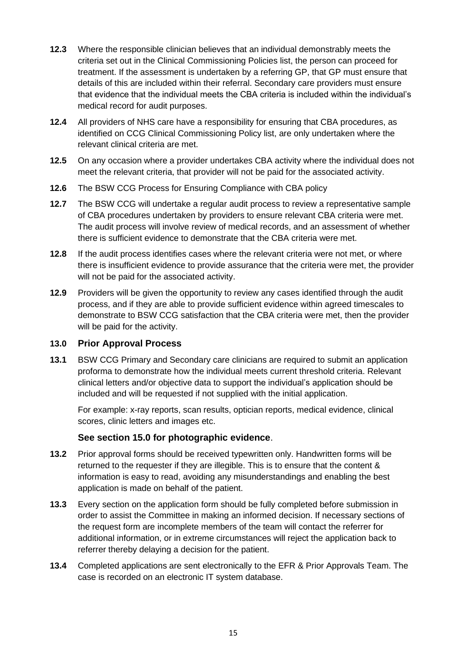- **12.3** Where the responsible clinician believes that an individual demonstrably meets the criteria set out in the Clinical Commissioning Policies list, the person can proceed for treatment. If the assessment is undertaken by a referring GP, that GP must ensure that details of this are included within their referral. Secondary care providers must ensure that evidence that the individual meets the CBA criteria is included within the individual's medical record for audit purposes.
- **12.4** All providers of NHS care have a responsibility for ensuring that CBA procedures, as identified on CCG Clinical Commissioning Policy list, are only undertaken where the relevant clinical criteria are met.
- **12.5** On any occasion where a provider undertakes CBA activity where the individual does not meet the relevant criteria, that provider will not be paid for the associated activity.
- **12.6** The BSW CCG Process for Ensuring Compliance with CBA policy
- **12.7** The BSW CCG will undertake a regular audit process to review a representative sample of CBA procedures undertaken by providers to ensure relevant CBA criteria were met. The audit process will involve review of medical records, and an assessment of whether there is sufficient evidence to demonstrate that the CBA criteria were met.
- **12.8** If the audit process identifies cases where the relevant criteria were not met, or where there is insufficient evidence to provide assurance that the criteria were met, the provider will not be paid for the associated activity.
- **12.9** Providers will be given the opportunity to review any cases identified through the audit process, and if they are able to provide sufficient evidence within agreed timescales to demonstrate to BSW CCG satisfaction that the CBA criteria were met, then the provider will be paid for the activity.

#### **13.0 Prior Approval Process**

**13.1** BSW CCG Primary and Secondary care clinicians are required to submit an application proforma to demonstrate how the individual meets current threshold criteria. Relevant clinical letters and/or objective data to support the individual's application should be included and will be requested if not supplied with the initial application.

For example: x-ray reports, scan results, optician reports, medical evidence, clinical scores, clinic letters and images etc.

#### **See section 15.0 for photographic evidence**.

- **13.2** Prior approval forms should be received typewritten only. Handwritten forms will be returned to the requester if they are illegible. This is to ensure that the content & information is easy to read, avoiding any misunderstandings and enabling the best application is made on behalf of the patient.
- **13.3** Every section on the application form should be fully completed before submission in order to assist the Committee in making an informed decision. If necessary sections of the request form are incomplete members of the team will contact the referrer for additional information, or in extreme circumstances will reject the application back to referrer thereby delaying a decision for the patient.
- **13.4** Completed applications are sent electronically to the EFR & Prior Approvals Team. The case is recorded on an electronic IT system database.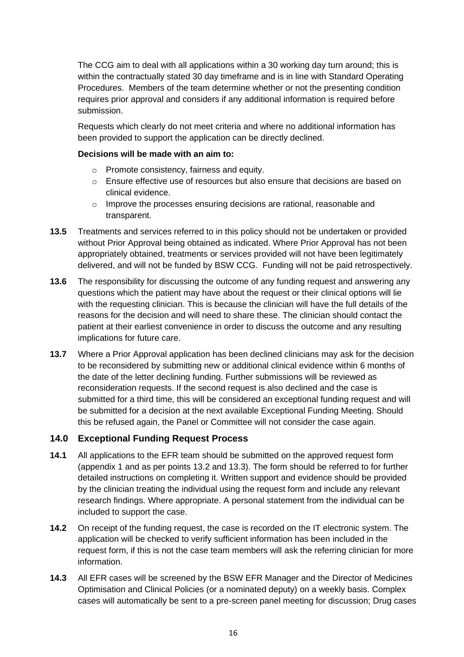The CCG aim to deal with all applications within a 30 working day turn around; this is within the contractually stated 30 day timeframe and is in line with Standard Operating Procedures. Members of the team determine whether or not the presenting condition requires prior approval and considers if any additional information is required before submission.

Requests which clearly do not meet criteria and where no additional information has been provided to support the application can be directly declined.

#### **Decisions will be made with an aim to:**

- o Promote consistency, fairness and equity.
- $\circ$  Ensure effective use of resources but also ensure that decisions are based on clinical evidence.
- o Improve the processes ensuring decisions are rational, reasonable and transparent.
- **13.5** Treatments and services referred to in this policy should not be undertaken or provided without Prior Approval being obtained as indicated. Where Prior Approval has not been appropriately obtained, treatments or services provided will not have been legitimately delivered, and will not be funded by BSW CCG. Funding will not be paid retrospectively.
- **13.6** The responsibility for discussing the outcome of any funding request and answering any questions which the patient may have about the request or their clinical options will lie with the requesting clinician. This is because the clinician will have the full details of the reasons for the decision and will need to share these. The clinician should contact the patient at their earliest convenience in order to discuss the outcome and any resulting implications for future care.
- **13.7** Where a Prior Approval application has been declined clinicians may ask for the decision to be reconsidered by submitting new or additional clinical evidence within 6 months of the date of the letter declining funding. Further submissions will be reviewed as reconsideration requests. If the second request is also declined and the case is submitted for a third time, this will be considered an exceptional funding request and will be submitted for a decision at the next available Exceptional Funding Meeting. Should this be refused again, the Panel or Committee will not consider the case again.

#### **14.0 Exceptional Funding Request Process**

- **14.1** All applications to the EFR team should be submitted on the approved request form (appendix 1 and as per points 13.2 and 13.3). The form should be referred to for further detailed instructions on completing it. Written support and evidence should be provided by the clinician treating the individual using the request form and include any relevant research findings. Where appropriate. A personal statement from the individual can be included to support the case.
- **14.2** On receipt of the funding request, the case is recorded on the IT electronic system. The application will be checked to verify sufficient information has been included in the request form, if this is not the case team members will ask the referring clinician for more information.
- **14.3** All EFR cases will be screened by the BSW EFR Manager and the Director of Medicines Optimisation and Clinical Policies (or a nominated deputy) on a weekly basis. Complex cases will automatically be sent to a pre-screen panel meeting for discussion; Drug cases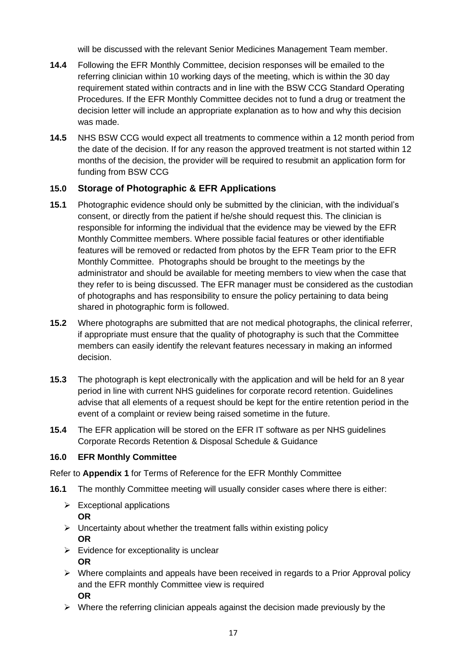will be discussed with the relevant Senior Medicines Management Team member.

- **14.4** Following the EFR Monthly Committee, decision responses will be emailed to the referring clinician within 10 working days of the meeting, which is within the 30 day requirement stated within contracts and in line with the BSW CCG Standard Operating Procedures. If the EFR Monthly Committee decides not to fund a drug or treatment the decision letter will include an appropriate explanation as to how and why this decision was made.
- **14.5** NHS BSW CCG would expect all treatments to commence within a 12 month period from the date of the decision. If for any reason the approved treatment is not started within 12 months of the decision, the provider will be required to resubmit an application form for funding from BSW CCG

## **15.0 Storage of Photographic & EFR Applications**

- **15.1** Photographic evidence should only be submitted by the clinician, with the individual's consent, or directly from the patient if he/she should request this. The clinician is responsible for informing the individual that the evidence may be viewed by the EFR Monthly Committee members. Where possible facial features or other identifiable features will be removed or redacted from photos by the EFR Team prior to the EFR Monthly Committee. Photographs should be brought to the meetings by the administrator and should be available for meeting members to view when the case that they refer to is being discussed. The EFR manager must be considered as the custodian of photographs and has responsibility to ensure the policy pertaining to data being shared in photographic form is followed.
- **15.2** Where photographs are submitted that are not medical photographs, the clinical referrer, if appropriate must ensure that the quality of photography is such that the Committee members can easily identify the relevant features necessary in making an informed decision.
- **15.3** The photograph is kept electronically with the application and will be held for an 8 year period in line with current NHS guidelines for corporate record retention. Guidelines advise that all elements of a request should be kept for the entire retention period in the event of a complaint or review being raised sometime in the future.
- **15.4** The EFR application will be stored on the EFR IT software as per NHS guidelines Corporate Records Retention & Disposal Schedule & Guidance

#### **16.0 EFR Monthly Committee**

Refer to **Appendix 1** for Terms of Reference for the EFR Monthly Committee

- **16.1** The monthly Committee meeting will usually consider cases where there is either:
	- $\triangleright$  Exceptional applications **OR**
	- $\triangleright$  Uncertainty about whether the treatment falls within existing policy **OR**
	- $\triangleright$  Evidence for exceptionality is unclear **OR**
	- $\triangleright$  Where complaints and appeals have been received in regards to a Prior Approval policy and the EFR monthly Committee view is required **OR**
	- ➢ Where the referring clinician appeals against the decision made previously by the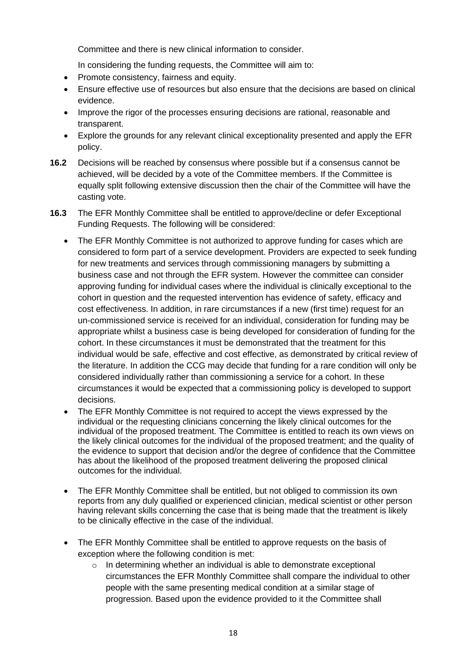Committee and there is new clinical information to consider.

In considering the funding requests, the Committee will aim to:

- Promote consistency, fairness and equity.
- Ensure effective use of resources but also ensure that the decisions are based on clinical evidence.
- Improve the rigor of the processes ensuring decisions are rational, reasonable and transparent.
- Explore the grounds for any relevant clinical exceptionality presented and apply the EFR policy.
- **16.2** Decisions will be reached by consensus where possible but if a consensus cannot be achieved, will be decided by a vote of the Committee members. If the Committee is equally split following extensive discussion then the chair of the Committee will have the casting vote.
- **16.3** The EFR Monthly Committee shall be entitled to approve/decline or defer Exceptional Funding Requests. The following will be considered:
	- The EFR Monthly Committee is not authorized to approve funding for cases which are considered to form part of a service development. Providers are expected to seek funding for new treatments and services through commissioning managers by submitting a business case and not through the EFR system. However the committee can consider approving funding for individual cases where the individual is clinically exceptional to the cohort in question and the requested intervention has evidence of safety, efficacy and cost effectiveness. In addition, in rare circumstances if a new (first time) request for an un-commissioned service is received for an individual, consideration for funding may be appropriate whilst a business case is being developed for consideration of funding for the cohort. In these circumstances it must be demonstrated that the treatment for this individual would be safe, effective and cost effective, as demonstrated by critical review of the literature. In addition the CCG may decide that funding for a rare condition will only be considered individually rather than commissioning a service for a cohort. In these circumstances it would be expected that a commissioning policy is developed to support decisions.
	- The EFR Monthly Committee is not required to accept the views expressed by the individual or the requesting clinicians concerning the likely clinical outcomes for the individual of the proposed treatment. The Committee is entitled to reach its own views on the likely clinical outcomes for the individual of the proposed treatment; and the quality of the evidence to support that decision and/or the degree of confidence that the Committee has about the likelihood of the proposed treatment delivering the proposed clinical outcomes for the individual.
	- The EFR Monthly Committee shall be entitled, but not obliged to commission its own reports from any duly qualified or experienced clinician, medical scientist or other person having relevant skills concerning the case that is being made that the treatment is likely to be clinically effective in the case of the individual.
	- The EFR Monthly Committee shall be entitled to approve requests on the basis of exception where the following condition is met:
		- $\circ$  In determining whether an individual is able to demonstrate exceptional circumstances the EFR Monthly Committee shall compare the individual to other people with the same presenting medical condition at a similar stage of progression. Based upon the evidence provided to it the Committee shall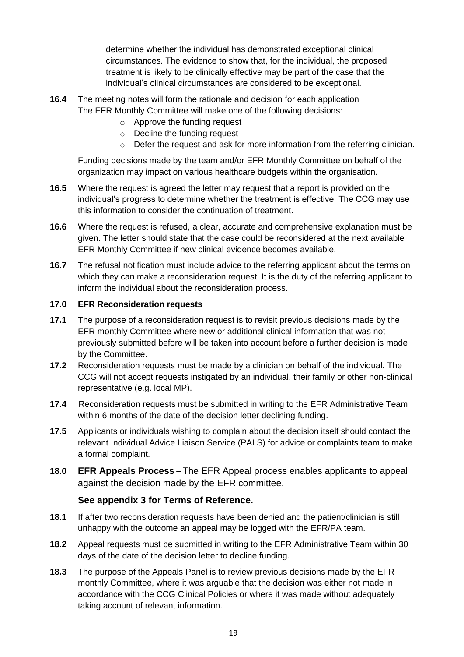determine whether the individual has demonstrated exceptional clinical circumstances. The evidence to show that, for the individual, the proposed treatment is likely to be clinically effective may be part of the case that the individual's clinical circumstances are considered to be exceptional.

- **16.4** The meeting notes will form the rationale and decision for each application The EFR Monthly Committee will make one of the following decisions:
	- o Approve the funding request
	- o Decline the funding request
	- $\circ$  Defer the request and ask for more information from the referring clinician.

Funding decisions made by the team and/or EFR Monthly Committee on behalf of the organization may impact on various healthcare budgets within the organisation.

- **16.5** Where the request is agreed the letter may request that a report is provided on the individual's progress to determine whether the treatment is effective. The CCG may use this information to consider the continuation of treatment.
- **16.6** Where the request is refused, a clear, accurate and comprehensive explanation must be given. The letter should state that the case could be reconsidered at the next available EFR Monthly Committee if new clinical evidence becomes available.
- **16.7** The refusal notification must include advice to the referring applicant about the terms on which they can make a reconsideration request. It is the duty of the referring applicant to inform the individual about the reconsideration process.

#### **17.0 EFR Reconsideration requests**

- **17.1** The purpose of a reconsideration request is to revisit previous decisions made by the EFR monthly Committee where new or additional clinical information that was not previously submitted before will be taken into account before a further decision is made by the Committee.
- **17.2** Reconsideration requests must be made by a clinician on behalf of the individual. The CCG will not accept requests instigated by an individual, their family or other non-clinical representative (e.g. local MP).
- **17.4** Reconsideration requests must be submitted in writing to the EFR Administrative Team within 6 months of the date of the decision letter declining funding.
- **17.5** Applicants or individuals wishing to complain about the decision itself should contact the relevant Individual Advice Liaison Service (PALS) for advice or complaints team to make a formal complaint.
- **18.0 EFR Appeals Process** The EFR Appeal process enables applicants to appeal against the decision made by the EFR committee.

#### **See appendix 3 for Terms of Reference.**

- **18.1** If after two reconsideration requests have been denied and the patient/clinician is still unhappy with the outcome an appeal may be logged with the EFR/PA team.
- **18.2** Appeal requests must be submitted in writing to the EFR Administrative Team within 30 days of the date of the decision letter to decline funding.
- **18.3** The purpose of the Appeals Panel is to review previous decisions made by the EFR monthly Committee, where it was arguable that the decision was either not made in accordance with the CCG Clinical Policies or where it was made without adequately taking account of relevant information.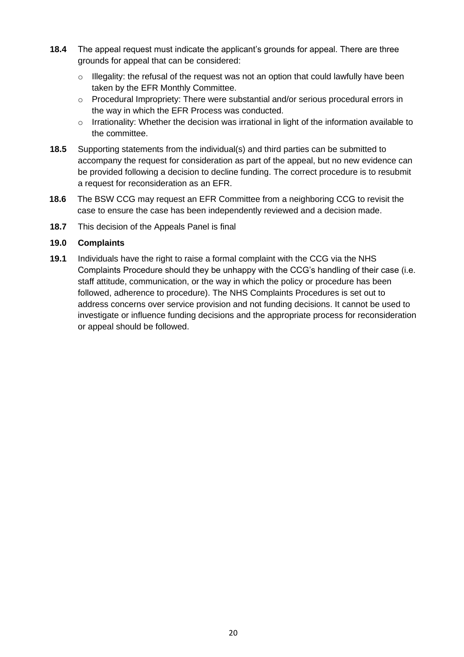- **18.4** The appeal request must indicate the applicant's grounds for appeal. There are three grounds for appeal that can be considered:
	- $\circ$  Illegality: the refusal of the request was not an option that could lawfully have been taken by the EFR Monthly Committee.
	- o Procedural Impropriety: There were substantial and/or serious procedural errors in the way in which the EFR Process was conducted.
	- $\circ$  Irrationality: Whether the decision was irrational in light of the information available to the committee.
- **18.5** Supporting statements from the individual(s) and third parties can be submitted to accompany the request for consideration as part of the appeal, but no new evidence can be provided following a decision to decline funding. The correct procedure is to resubmit a request for reconsideration as an EFR.
- **18.6** The BSW CCG may request an EFR Committee from a neighboring CCG to revisit the case to ensure the case has been independently reviewed and a decision made.
- **18.7** This decision of the Appeals Panel is final

#### **19.0 Complaints**

**19.1** Individuals have the right to raise a formal complaint with the CCG via the NHS Complaints Procedure should they be unhappy with the CCG's handling of their case (i.e. staff attitude, communication, or the way in which the policy or procedure has been followed, adherence to procedure). The NHS Complaints Procedures is set out to address concerns over service provision and not funding decisions. It cannot be used to investigate or influence funding decisions and the appropriate process for reconsideration or appeal should be followed.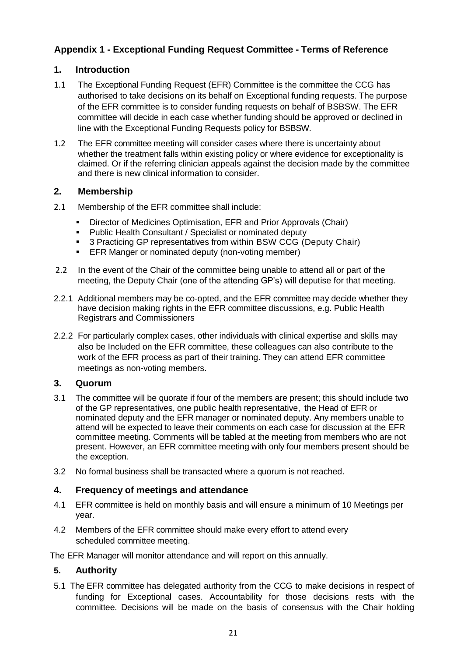## **Appendix 1 - Exceptional Funding Request Committee - Terms of Reference**

## **1. Introduction**

- 1.1 The Exceptional Funding Request (EFR) Committee is the committee the CCG has authorised to take decisions on its behalf on Exceptional funding requests. The purpose of the EFR committee is to consider funding requests on behalf of BSBSW. The EFR committee will decide in each case whether funding should be approved or declined in line with the Exceptional Funding Requests policy for BSBSW.
- 1.2 The EFR committee meeting will consider cases where there is uncertainty about whether the treatment falls within existing policy or where evidence for exceptionality is claimed. Or if the referring clinician appeals against the decision made by the committee and there is new clinical information to consider.

### **2. Membership**

- 2.1 Membership of the EFR committee shall include:
	- **EXECT** Director of Medicines Optimisation, EFR and Prior Approvals (Chair)
	- Public Health Consultant / Specialist or nominated deputy
	- 3 Practicing GP representatives from within BSW CCG (Deputy Chair)
	- **EFR Manger or nominated deputy (non-voting member)**
- 2.2 In the event of the Chair of the committee being unable to attend all or part of the meeting, the Deputy Chair (one of the attending GP's) will deputise for that meeting.
- 2.2.1 Additional members may be co-opted, and the EFR committee may decide whether they have decision making rights in the EFR committee discussions, e.g. Public Health Registrars and Commissioners
- 2.2.2 For particularly complex cases, other individuals with clinical expertise and skills may also be Included on the EFR committee, these colleagues can also contribute to the work of the EFR process as part of their training. They can attend EFR committee meetings as non-voting members.

#### **3. Quorum**

- 3.1 The committee will be quorate if four of the members are present; this should include two of the GP representatives, one public health representative, the Head of EFR or nominated deputy and the EFR manager or nominated deputy. Any members unable to attend will be expected to leave their comments on each case for discussion at the EFR committee meeting. Comments will be tabled at the meeting from members who are not present. However, an EFR committee meeting with only four members present should be the exception.
- 3.2 No formal business shall be transacted where a quorum is not reached.

#### **4. Frequency of meetings and attendance**

- 4.1 EFR committee is held on monthly basis and will ensure a minimum of 10 Meetings per year.
- 4.2 Members of the EFR committee should make every effort to attend every scheduled committee meeting.

The EFR Manager will monitor attendance and will report on this annually.

#### **5. Authority**

5.1 The EFR committee has delegated authority from the CCG to make decisions in respect of funding for Exceptional cases. Accountability for those decisions rests with the committee. Decisions will be made on the basis of consensus with the Chair holding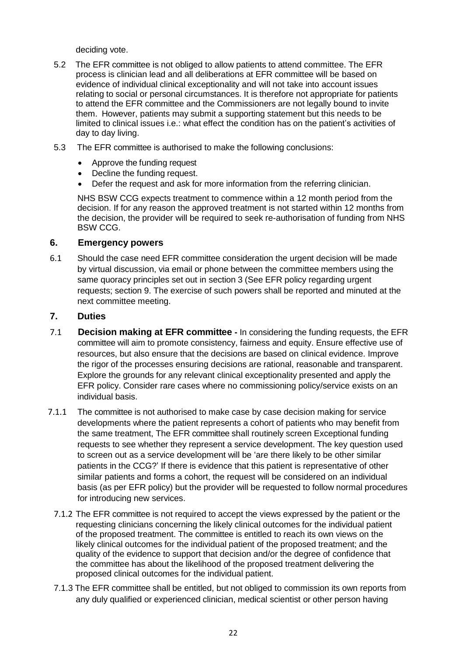deciding vote.

- 5.2 The EFR committee is not obliged to allow patients to attend committee. The EFR process is clinician lead and all deliberations at EFR committee will be based on evidence of individual clinical exceptionality and will not take into account issues relating to social or personal circumstances. It is therefore not appropriate for patients to attend the EFR committee and the Commissioners are not legally bound to invite them. However, patients may submit a supporting statement but this needs to be limited to clinical issues i.e.: what effect the condition has on the patient's activities of day to day living.
- 5.3 The EFR committee is authorised to make the following conclusions:
	- Approve the funding request
	- Decline the funding request.
	- Defer the request and ask for more information from the referring clinician.

NHS BSW CCG expects treatment to commence within a 12 month period from the decision. If for any reason the approved treatment is not started within 12 months from the decision, the provider will be required to seek re-authorisation of funding from NHS BSW CCG.

#### **6. Emergency powers**

6.1 Should the case need EFR committee consideration the urgent decision will be made by virtual discussion, via email or phone between the committee members using the same quoracy principles set out in section 3 (See EFR policy regarding urgent requests; section 9. The exercise of such powers shall be reported and minuted at the next committee meeting.

#### **7. Duties**

- 7.1 **Decision making at EFR committee -** In considering the funding requests, the EFR committee will aim to promote consistency, fairness and equity. Ensure effective use of resources, but also ensure that the decisions are based on clinical evidence. Improve the rigor of the processes ensuring decisions are rational, reasonable and transparent. Explore the grounds for any relevant clinical exceptionality presented and apply the EFR policy. Consider rare cases where no commissioning policy/service exists on an individual basis.
- 7.1.1 The committee is not authorised to make case by case decision making for service developments where the patient represents a cohort of patients who may benefit from the same treatment, The EFR committee shall routinely screen Exceptional funding requests to see whether they represent a service development. The key question used to screen out as a service development will be 'are there likely to be other similar patients in the CCG?' If there is evidence that this patient is representative of other similar patients and forms a cohort, the request will be considered on an individual basis (as per EFR policy) but the provider will be requested to follow normal procedures for introducing new services.
	- 7.1.2 The EFR committee is not required to accept the views expressed by the patient or the requesting clinicians concerning the likely clinical outcomes for the individual patient of the proposed treatment. The committee is entitled to reach its own views on the likely clinical outcomes for the individual patient of the proposed treatment; and the quality of the evidence to support that decision and/or the degree of confidence that the committee has about the likelihood of the proposed treatment delivering the proposed clinical outcomes for the individual patient.
	- 7.1.3 The EFR committee shall be entitled, but not obliged to commission its own reports from any duly qualified or experienced clinician, medical scientist or other person having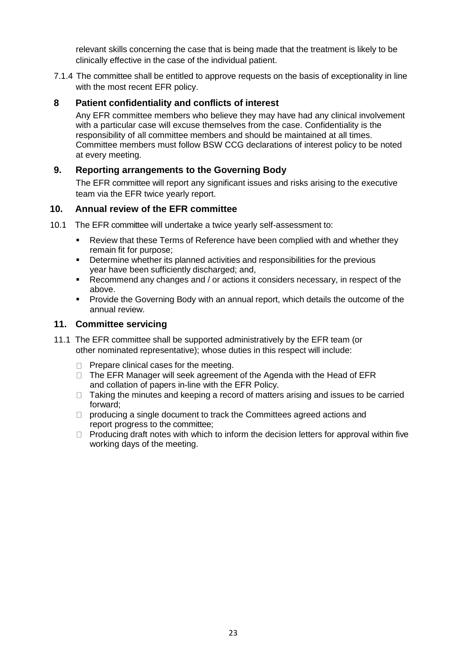relevant skills concerning the case that is being made that the treatment is likely to be clinically effective in the case of the individual patient.

7.1.4 The committee shall be entitled to approve requests on the basis of exceptionality in line with the most recent EFR policy.

#### **8 Patient confidentiality and conflicts of interest**

Any EFR committee members who believe they may have had any clinical involvement with a particular case will excuse themselves from the case. Confidentiality is the responsibility of all committee members and should be maintained at all times. Committee members must follow BSW CCG declarations of interest policy to be noted at every meeting.

#### **9. Reporting arrangements to the Governing Body**

The EFR committee will report any significant issues and risks arising to the executive team via the EFR twice yearly report.

#### **10. Annual review of the EFR committee**

- 10.1 The EFR committee will undertake a twice yearly self-assessment to:
	- **EXEL** Review that these Terms of Reference have been complied with and whether they remain fit for purpose;
	- **•** Determine whether its planned activities and responsibilities for the previous year have been sufficiently discharged; and,
	- Recommend any changes and / or actions it considers necessary, in respect of the above.
	- **Provide the Governing Body with an annual report, which details the outcome of the** annual review.

#### **11. Committee servicing**

- 11.1 The EFR committee shall be supported administratively by the EFR team (or other nominated representative); whose duties in this respect will include:
	- $\Box$  Prepare clinical cases for the meeting.
	- $\Box$  The EFR Manager will seek agreement of the Agenda with the Head of EFR and collation of papers in-line with the EFR Policy.
	- $\Box$  Taking the minutes and keeping a record of matters arising and issues to be carried forward;
	- $\Box$  producing a single document to track the Committees agreed actions and report progress to the committee;
	- $\Box$  Producing draft notes with which to inform the decision letters for approval within five working days of the meeting.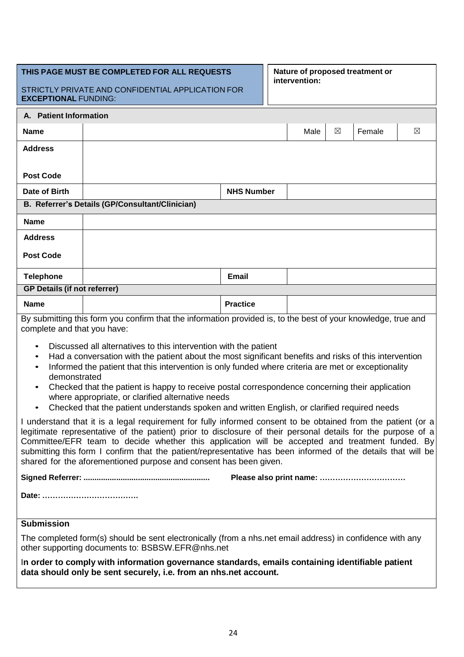| THIS PAGE MUST BE COMPLETED FOR ALL REQUESTS<br>STRICTLY PRIVATE AND CONFIDENTIAL APPLICATION FOR<br><b>EXCEPTIONAL FUNDING:</b>                                                                                                                                                                                                                                                                                                                                                                                                                                                                                           |                                                                                                                                                                      |                   | Nature of proposed treatment or<br>intervention: |      |   |        |             |
|----------------------------------------------------------------------------------------------------------------------------------------------------------------------------------------------------------------------------------------------------------------------------------------------------------------------------------------------------------------------------------------------------------------------------------------------------------------------------------------------------------------------------------------------------------------------------------------------------------------------------|----------------------------------------------------------------------------------------------------------------------------------------------------------------------|-------------------|--------------------------------------------------|------|---|--------|-------------|
| A. Patient Information                                                                                                                                                                                                                                                                                                                                                                                                                                                                                                                                                                                                     |                                                                                                                                                                      |                   |                                                  |      |   |        |             |
| <b>Name</b>                                                                                                                                                                                                                                                                                                                                                                                                                                                                                                                                                                                                                |                                                                                                                                                                      |                   |                                                  | Male | ⊠ | Female | $\boxtimes$ |
| <b>Address</b>                                                                                                                                                                                                                                                                                                                                                                                                                                                                                                                                                                                                             |                                                                                                                                                                      |                   |                                                  |      |   |        |             |
|                                                                                                                                                                                                                                                                                                                                                                                                                                                                                                                                                                                                                            |                                                                                                                                                                      |                   |                                                  |      |   |        |             |
| <b>Post Code</b>                                                                                                                                                                                                                                                                                                                                                                                                                                                                                                                                                                                                           |                                                                                                                                                                      |                   |                                                  |      |   |        |             |
| Date of Birth                                                                                                                                                                                                                                                                                                                                                                                                                                                                                                                                                                                                              |                                                                                                                                                                      | <b>NHS Number</b> |                                                  |      |   |        |             |
|                                                                                                                                                                                                                                                                                                                                                                                                                                                                                                                                                                                                                            | B. Referrer's Details (GP/Consultant/Clinician)                                                                                                                      |                   |                                                  |      |   |        |             |
| <b>Name</b>                                                                                                                                                                                                                                                                                                                                                                                                                                                                                                                                                                                                                |                                                                                                                                                                      |                   |                                                  |      |   |        |             |
| <b>Address</b>                                                                                                                                                                                                                                                                                                                                                                                                                                                                                                                                                                                                             |                                                                                                                                                                      |                   |                                                  |      |   |        |             |
| <b>Post Code</b>                                                                                                                                                                                                                                                                                                                                                                                                                                                                                                                                                                                                           |                                                                                                                                                                      |                   |                                                  |      |   |        |             |
| <b>Telephone</b>                                                                                                                                                                                                                                                                                                                                                                                                                                                                                                                                                                                                           |                                                                                                                                                                      | <b>Email</b>      |                                                  |      |   |        |             |
| <b>GP Details (if not referrer)</b>                                                                                                                                                                                                                                                                                                                                                                                                                                                                                                                                                                                        |                                                                                                                                                                      |                   |                                                  |      |   |        |             |
| <b>Name</b>                                                                                                                                                                                                                                                                                                                                                                                                                                                                                                                                                                                                                |                                                                                                                                                                      | <b>Practice</b>   |                                                  |      |   |        |             |
| By submitting this form you confirm that the information provided is, to the best of your knowledge, true and<br>complete and that you have:                                                                                                                                                                                                                                                                                                                                                                                                                                                                               |                                                                                                                                                                      |                   |                                                  |      |   |        |             |
| Discussed all alternatives to this intervention with the patient<br>$\bullet$<br>Had a conversation with the patient about the most significant benefits and risks of this intervention<br>$\bullet$<br>Informed the patient that this intervention is only funded where criteria are met or exceptionality<br>$\bullet$<br>demonstrated<br>Checked that the patient is happy to receive postal correspondence concerning their application<br>$\bullet$<br>where appropriate, or clarified alternative needs<br>Checked that the patient understands spoken and written English, or clarified required needs<br>$\bullet$ |                                                                                                                                                                      |                   |                                                  |      |   |        |             |
| I understand that it is a legal requirement for fully informed consent to be obtained from the patient (or a<br>legitimate representative of the patient) prior to disclosure of their personal details for the purpose of a<br>Committee/EFR team to decide whether this application will be accepted and treatment funded. By<br>submitting this form I confirm that the patient/representative has been informed of the details that will be<br>shared for the aforementioned purpose and consent has been given.                                                                                                       |                                                                                                                                                                      |                   |                                                  |      |   |        |             |
|                                                                                                                                                                                                                                                                                                                                                                                                                                                                                                                                                                                                                            |                                                                                                                                                                      |                   |                                                  |      |   |        |             |
|                                                                                                                                                                                                                                                                                                                                                                                                                                                                                                                                                                                                                            |                                                                                                                                                                      |                   |                                                  |      |   |        |             |
| <b>Submission</b>                                                                                                                                                                                                                                                                                                                                                                                                                                                                                                                                                                                                          |                                                                                                                                                                      |                   |                                                  |      |   |        |             |
|                                                                                                                                                                                                                                                                                                                                                                                                                                                                                                                                                                                                                            | The completed form(s) should be sent electronically (from a nhs.net email address) in confidence with any<br>other supporting documents to: BSBSW.EFR@nhs.net        |                   |                                                  |      |   |        |             |
|                                                                                                                                                                                                                                                                                                                                                                                                                                                                                                                                                                                                                            | In order to comply with information governance standards, emails containing identifiable patient<br>data should only be sent securely, i.e. from an nhs.net account. |                   |                                                  |      |   |        |             |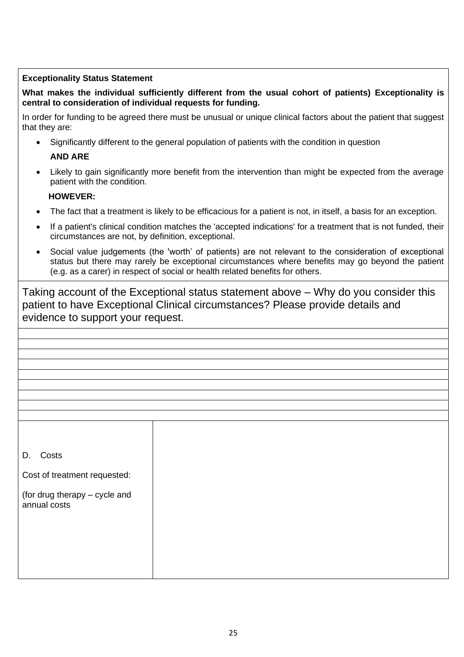#### **Exceptionality Status Statement**

**What makes the individual sufficiently different from the usual cohort of patients) Exceptionality is central to consideration of individual requests for funding.**

In order for funding to be agreed there must be unusual or unique clinical factors about the patient that suggest that they are:

- Significantly different to the general population of patients with the condition in question **AND ARE**
- Likely to gain significantly more benefit from the intervention than might be expected from the average patient with the condition.

#### **HOWEVER:**

- The fact that a treatment is likely to be efficacious for a patient is not, in itself, a basis for an exception.
- If a patient's clinical condition matches the 'accepted indications' for a treatment that is not funded, their circumstances are not, by definition, exceptional.
- Social value judgements (the 'worth' of patients) are not relevant to the consideration of exceptional status but there may rarely be exceptional circumstances where benefits may go beyond the patient (e.g. as a carer) in respect of social or health related benefits for others.

Taking account of the Exceptional status statement above – Why do you consider this patient to have Exceptional Clinical circumstances? Please provide details and evidence to support your request.

D. Costs

Cost of treatment requested:

(for drug therapy – cycle and annual costs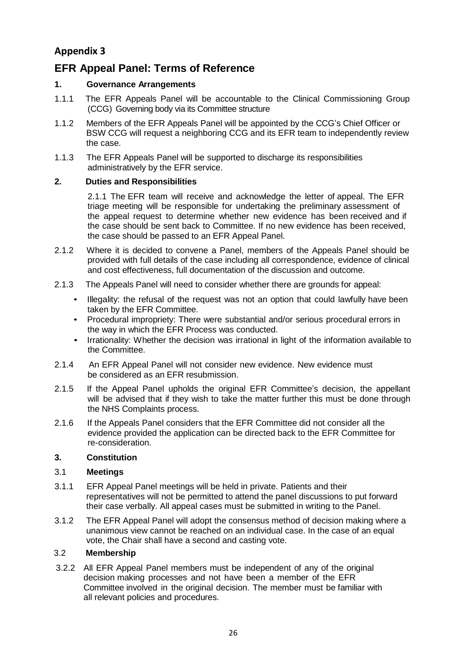## **Appendix 3**

## **EFR Appeal Panel: Terms of Reference**

#### **1. Governance Arrangements**

- 1.1.1 The EFR Appeals Panel will be accountable to the Clinical Commissioning Group (CCG) Governing body via its Committee structure
- 1.1.2 Members of the EFR Appeals Panel will be appointed by the CCG's Chief Officer or BSW CCG will request a neighboring CCG and its EFR team to independently review the case.
- 1.1.3 The EFR Appeals Panel will be supported to discharge its responsibilities administratively by the EFR service.

#### **2. Duties and Responsibilities**

2.1.1 The EFR team will receive and acknowledge the letter of appeal. The EFR triage meeting will be responsible for undertaking the preliminary assessment of the appeal request to determine whether new evidence has been received and if the case should be sent back to Committee. If no new evidence has been received, the case should be passed to an EFR Appeal Panel.

- 2.1.2 Where it is decided to convene a Panel, members of the Appeals Panel should be provided with full details of the case including all correspondence, evidence of clinical and cost effectiveness, full documentation of the discussion and outcome.
- 2.1.3 The Appeals Panel will need to consider whether there are grounds for appeal:
	- Illegality: the refusal of the request was not an option that could lawfully have been taken by the EFR Committee.
	- Procedural impropriety: There were substantial and/or serious procedural errors in the way in which the EFR Process was conducted.
	- Irrationality: Whether the decision was irrational in light of the information available to the Committee.
- 2.1.4 An EFR Appeal Panel will not consider new evidence. New evidence must be considered as an EFR resubmission.
- 2.1.5 If the Appeal Panel upholds the original EFR Committee's decision, the appellant will be advised that if they wish to take the matter further this must be done through the NHS Complaints process.
- 2.1.6 If the Appeals Panel considers that the EFR Committee did not consider all the evidence provided the application can be directed back to the EFR Committee for re-consideration.

#### **3. Constitution**

#### 3.1 **Meetings**

- 3.1.1 EFR Appeal Panel meetings will be held in private. Patients and their representatives will not be permitted to attend the panel discussions to put forward their case verbally. All appeal cases must be submitted in writing to the Panel.
- 3.1.2 The EFR Appeal Panel will adopt the consensus method of decision making where a unanimous view cannot be reached on an individual case. In the case of an equal vote, the Chair shall have a second and casting vote.

#### 3.2 **Membership**

3.2.2 All EFR Appeal Panel members must be independent of any of the original decision making processes and not have been a member of the EFR Committee involved in the original decision. The member must be familiar with all relevant policies and procedures.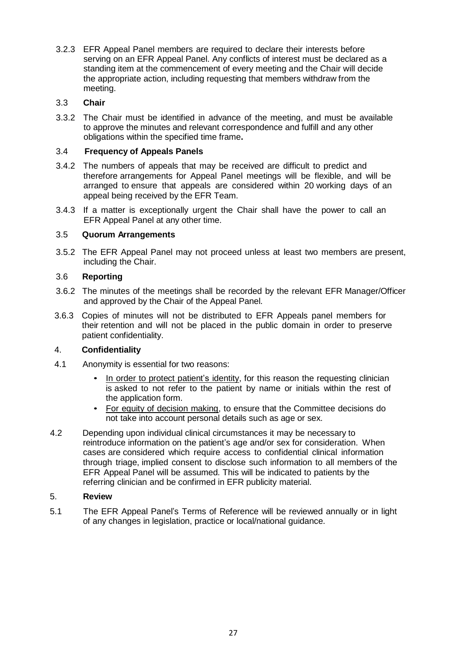3.2.3 EFR Appeal Panel members are required to declare their interests before serving on an EFR Appeal Panel. Any conflicts of interest must be declared as a standing item at the commencement of every meeting and the Chair will decide the appropriate action, including requesting that members withdraw from the meeting.

#### 3.3 **Chair**

3.3.2 The Chair must be identified in advance of the meeting, and must be available to approve the minutes and relevant correspondence and fulfill and any other obligations within the specified time frame**.**

#### 3.4 **Frequency of Appeals Panels**

- 3.4.2 The numbers of appeals that may be received are difficult to predict and therefore arrangements for Appeal Panel meetings will be flexible, and will be arranged to ensure that appeals are considered within 20 working days of an appeal being received by the EFR Team.
- 3.4.3 If a matter is exceptionally urgent the Chair shall have the power to call an EFR Appeal Panel at any other time.

#### 3.5 **Quorum Arrangements**

3.5.2 The EFR Appeal Panel may not proceed unless at least two members are present, including the Chair.

#### 3.6 **Reporting**

- 3.6.2 The minutes of the meetings shall be recorded by the relevant EFR Manager/Officer and approved by the Chair of the Appeal Panel.
- 3.6.3 Copies of minutes will not be distributed to EFR Appeals panel members for their retention and will not be placed in the public domain in order to preserve patient confidentiality.

#### 4. **Confidentiality**

- 4.1 Anonymity is essential for two reasons:
	- In order to protect patient's identity, for this reason the requesting clinician is asked to not refer to the patient by name or initials within the rest of the application form.
	- For equity of decision making, to ensure that the Committee decisions do not take into account personal details such as age or sex.
- 4.2 Depending upon individual clinical circumstances it may be necessary to reintroduce information on the patient's age and/or sex for consideration. When cases are considered which require access to confidential clinical information through triage, implied consent to disclose such information to all members of the EFR Appeal Panel will be assumed. This will be indicated to patients by the referring clinician and be confirmed in EFR publicity material.

#### 5. **Review**

5.1 The EFR Appeal Panel's Terms of Reference will be reviewed annually or in light of any changes in legislation, practice or local/national guidance.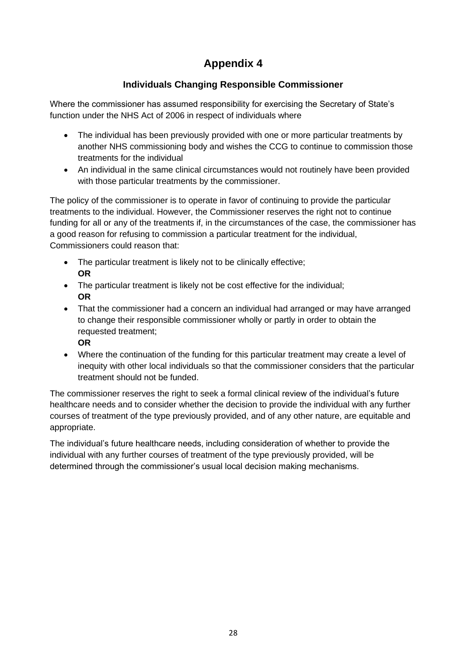## **Appendix 4**

## **Individuals Changing Responsible Commissioner**

Where the commissioner has assumed responsibility for exercising the Secretary of State's function under the NHS Act of 2006 in respect of individuals where

- The individual has been previously provided with one or more particular treatments by another NHS commissioning body and wishes the CCG to continue to commission those treatments for the individual
- An individual in the same clinical circumstances would not routinely have been provided with those particular treatments by the commissioner.

The policy of the commissioner is to operate in favor of continuing to provide the particular treatments to the individual. However, the Commissioner reserves the right not to continue funding for all or any of the treatments if, in the circumstances of the case, the commissioner has a good reason for refusing to commission a particular treatment for the individual, Commissioners could reason that:

- The particular treatment is likely not to be clinically effective; **OR**
- The particular treatment is likely not be cost effective for the individual; **OR**
- That the commissioner had a concern an individual had arranged or may have arranged to change their responsible commissioner wholly or partly in order to obtain the requested treatment;
	- **OR**
- Where the continuation of the funding for this particular treatment may create a level of inequity with other local individuals so that the commissioner considers that the particular treatment should not be funded.

The commissioner reserves the right to seek a formal clinical review of the individual's future healthcare needs and to consider whether the decision to provide the individual with any further courses of treatment of the type previously provided, and of any other nature, are equitable and appropriate.

The individual's future healthcare needs, including consideration of whether to provide the individual with any further courses of treatment of the type previously provided, will be determined through the commissioner's usual local decision making mechanisms.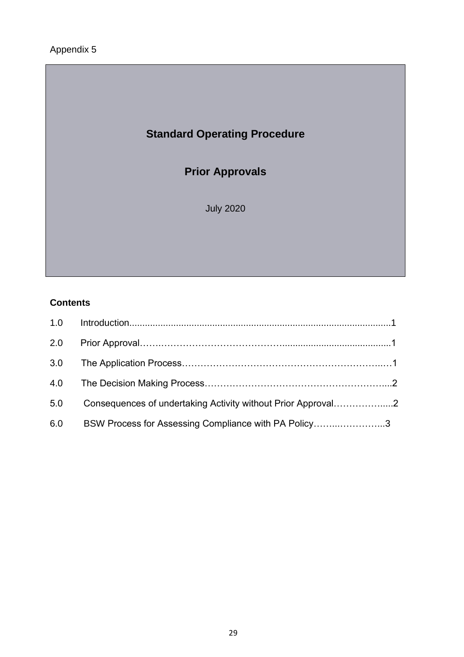## Appendix 5

# **Standard Operating Procedure**

## **Prior Approvals**

July 2020

## **Contents**

| 2.0 |                                                              |  |
|-----|--------------------------------------------------------------|--|
| 3.0 |                                                              |  |
| 4.0 |                                                              |  |
| 5.0 | Consequences of undertaking Activity without Prior Approval2 |  |
| 6.0 | BSW Process for Assessing Compliance with PA Policy3         |  |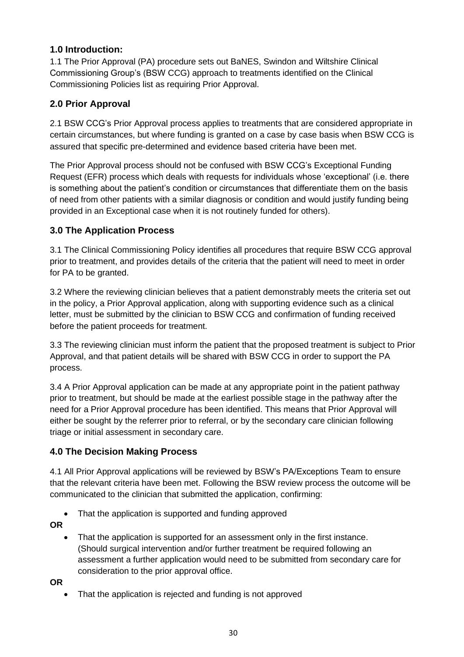## **1.0 Introduction:**

1.1 The Prior Approval (PA) procedure sets out BaNES, Swindon and Wiltshire Clinical Commissioning Group's (BSW CCG) approach to treatments identified on the Clinical Commissioning Policies list as requiring Prior Approval.

## **2.0 Prior Approval**

2.1 BSW CCG's Prior Approval process applies to treatments that are considered appropriate in certain circumstances, but where funding is granted on a case by case basis when BSW CCG is assured that specific pre-determined and evidence based criteria have been met.

The Prior Approval process should not be confused with BSW CCG's Exceptional Funding Request (EFR) process which deals with requests for individuals whose 'exceptional' (i.e. there is something about the patient's condition or circumstances that differentiate them on the basis of need from other patients with a similar diagnosis or condition and would justify funding being provided in an Exceptional case when it is not routinely funded for others).

## **3.0 The Application Process**

3.1 The Clinical Commissioning Policy identifies all procedures that require BSW CCG approval prior to treatment, and provides details of the criteria that the patient will need to meet in order for PA to be granted.

3.2 Where the reviewing clinician believes that a patient demonstrably meets the criteria set out in the policy, a Prior Approval application, along with supporting evidence such as a clinical letter, must be submitted by the clinician to BSW CCG and confirmation of funding received before the patient proceeds for treatment.

3.3 The reviewing clinician must inform the patient that the proposed treatment is subject to Prior Approval, and that patient details will be shared with BSW CCG in order to support the PA process.

3.4 A Prior Approval application can be made at any appropriate point in the patient pathway prior to treatment, but should be made at the earliest possible stage in the pathway after the need for a Prior Approval procedure has been identified. This means that Prior Approval will either be sought by the referrer prior to referral, or by the secondary care clinician following triage or initial assessment in secondary care.

## **4.0 The Decision Making Process**

4.1 All Prior Approval applications will be reviewed by BSW's PA/Exceptions Team to ensure that the relevant criteria have been met. Following the BSW review process the outcome will be communicated to the clinician that submitted the application, confirming:

• That the application is supported and funding approved

**OR** 

That the application is supported for an assessment only in the first instance. (Should surgical intervention and/or further treatment be required following an assessment a further application would need to be submitted from secondary care for consideration to the prior approval office.

**OR**

That the application is rejected and funding is not approved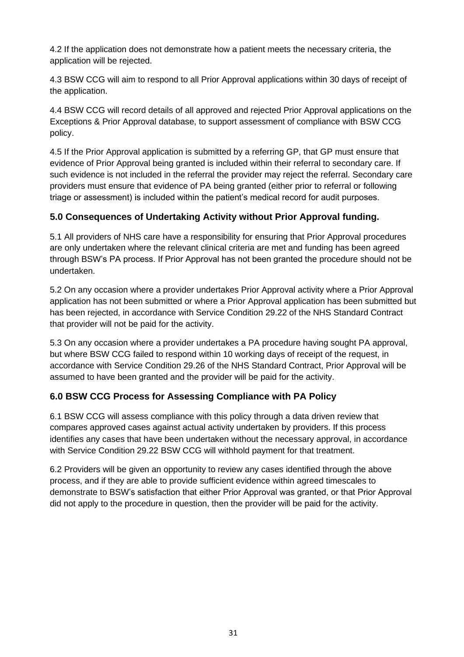4.2 If the application does not demonstrate how a patient meets the necessary criteria, the application will be rejected.

4.3 BSW CCG will aim to respond to all Prior Approval applications within 30 days of receipt of the application.

4.4 BSW CCG will record details of all approved and rejected Prior Approval applications on the Exceptions & Prior Approval database, to support assessment of compliance with BSW CCG policy.

4.5 If the Prior Approval application is submitted by a referring GP, that GP must ensure that evidence of Prior Approval being granted is included within their referral to secondary care. If such evidence is not included in the referral the provider may reject the referral. Secondary care providers must ensure that evidence of PA being granted (either prior to referral or following triage or assessment) is included within the patient's medical record for audit purposes.

## **5.0 Consequences of Undertaking Activity without Prior Approval funding.**

5.1 All providers of NHS care have a responsibility for ensuring that Prior Approval procedures are only undertaken where the relevant clinical criteria are met and funding has been agreed through BSW's PA process. If Prior Approval has not been granted the procedure should not be undertaken.

5.2 On any occasion where a provider undertakes Prior Approval activity where a Prior Approval application has not been submitted or where a Prior Approval application has been submitted but has been rejected, in accordance with Service Condition 29.22 of the NHS Standard Contract that provider will not be paid for the activity.

5.3 On any occasion where a provider undertakes a PA procedure having sought PA approval, but where BSW CCG failed to respond within 10 working days of receipt of the request, in accordance with Service Condition 29.26 of the NHS Standard Contract, Prior Approval will be assumed to have been granted and the provider will be paid for the activity.

## **6.0 BSW CCG Process for Assessing Compliance with PA Policy**

6.1 BSW CCG will assess compliance with this policy through a data driven review that compares approved cases against actual activity undertaken by providers. If this process identifies any cases that have been undertaken without the necessary approval, in accordance with Service Condition 29.22 BSW CCG will withhold payment for that treatment.

6.2 Providers will be given an opportunity to review any cases identified through the above process, and if they are able to provide sufficient evidence within agreed timescales to demonstrate to BSW's satisfaction that either Prior Approval was granted, or that Prior Approval did not apply to the procedure in question, then the provider will be paid for the activity.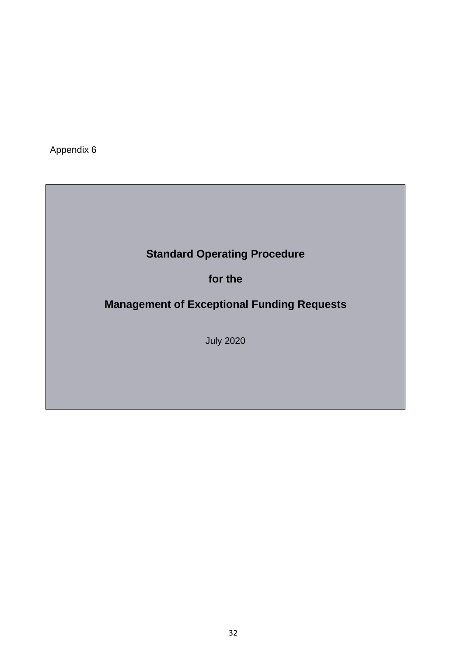Appendix 6

# **Standard Operating Procedure**

**for the**

**Management of Exceptional Funding Requests**

July 2020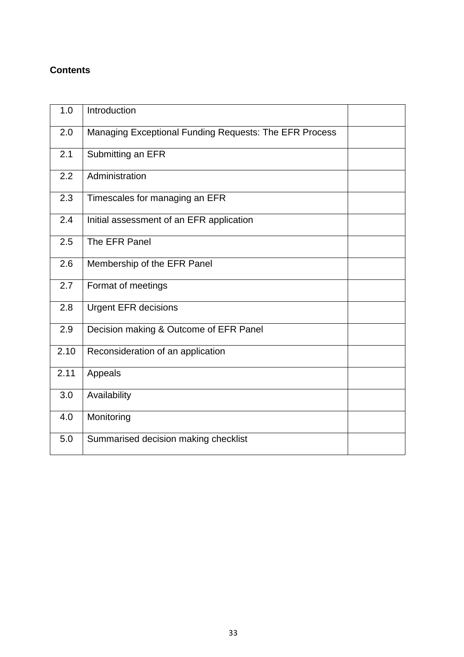## **Contents**

| 1.0  | Introduction                                           |  |
|------|--------------------------------------------------------|--|
| 2.0  | Managing Exceptional Funding Requests: The EFR Process |  |
| 2.1  | Submitting an EFR                                      |  |
| 2.2  | Administration                                         |  |
| 2.3  | Timescales for managing an EFR                         |  |
| 2.4  | Initial assessment of an EFR application               |  |
| 2.5  | The EFR Panel                                          |  |
| 2.6  | Membership of the EFR Panel                            |  |
| 2.7  | Format of meetings                                     |  |
| 2.8  | <b>Urgent EFR decisions</b>                            |  |
| 2.9  | Decision making & Outcome of EFR Panel                 |  |
| 2.10 | Reconsideration of an application                      |  |
| 2.11 | Appeals                                                |  |
| 3.0  | Availability                                           |  |
| 4.0  | Monitoring                                             |  |
| 5.0  | Summarised decision making checklist                   |  |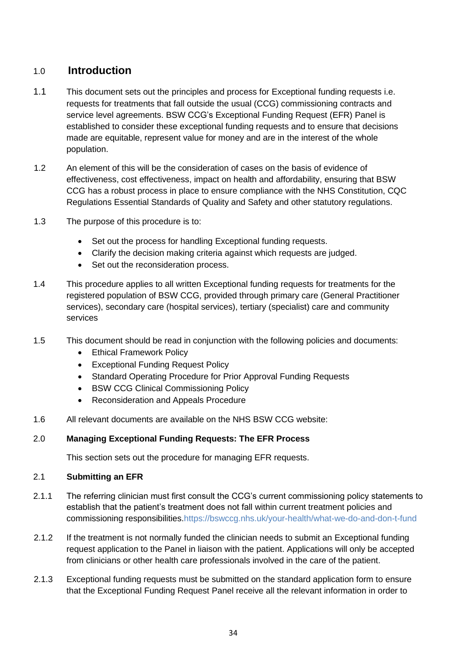## 1.0 **Introduction**

- 1.1 This document sets out the principles and process for Exceptional funding requests i.e. requests for treatments that fall outside the usual (CCG) commissioning contracts and service level agreements. BSW CCG's Exceptional Funding Request (EFR) Panel is established to consider these exceptional funding requests and to ensure that decisions made are equitable, represent value for money and are in the interest of the whole population.
- 1.2 An element of this will be the consideration of cases on the basis of evidence of effectiveness, cost effectiveness, impact on health and affordability, ensuring that BSW CCG has a robust process in place to ensure compliance with the NHS Constitution, CQC Regulations Essential Standards of Quality and Safety and other statutory regulations.
- 1.3 The purpose of this procedure is to:
	- Set out the process for handling Exceptional funding requests.
	- Clarify the decision making criteria against which requests are judged.
	- Set out the reconsideration process.
- 1.4 This procedure applies to all written Exceptional funding requests for treatments for the registered population of BSW CCG, provided through primary care (General Practitioner services), secondary care (hospital services), tertiary (specialist) care and community services
- 1.5 This document should be read in conjunction with the following policies and documents:
	- Ethical Framework Policy
	- Exceptional Funding Request Policy
	- Standard Operating Procedure for Prior Approval Funding Requests
	- BSW CCG Clinical Commissioning Policy
	- Reconsideration and Appeals Procedure
- 1.6 All relevant documents are available on the NHS BSW CCG website:

#### 2.0 **Managing Exceptional Funding Requests: The EFR Process**

This section sets out the procedure for managing EFR requests.

#### 2.1 **Submitting an EFR**

- 2.1.1 The referring clinician must first consult the CCG's current commissioning policy statements to establish that the patient's treatment does not fall within current treatment policies and commissioning responsibilities.https://bswccg.nhs.uk/your-health/what-we-do-and-don-t-fund
- 2.1.2 If the treatment is not normally funded the clinician needs to submit an Exceptional funding request application to the Panel in liaison with the patient. Applications will only be accepted from clinicians or other health care professionals involved in the care of the patient.
- 2.1.3 Exceptional funding requests must be submitted on the standard application form to ensure that the Exceptional Funding Request Panel receive all the relevant information in order to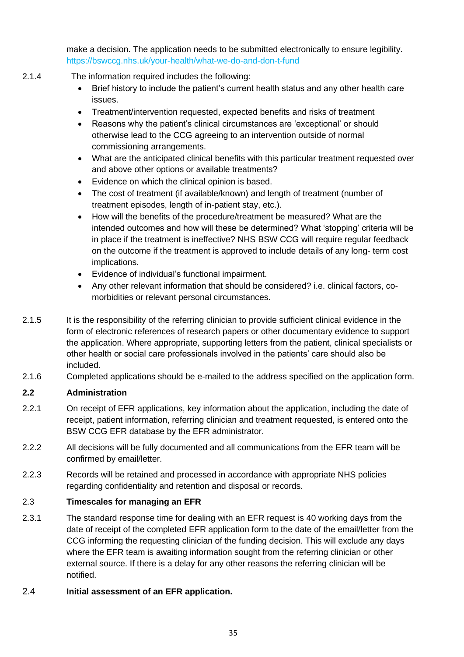make a decision. The application needs to be submitted electronically to ensure legibility. https://bswccg.nhs.uk/your-health/what-we-do-and-don-t-fund

- 2.1.4 The information required includes the following:
	- Brief history to include the patient's current health status and any other health care issues.
	- Treatment/intervention requested, expected benefits and risks of treatment
	- Reasons why the patient's clinical circumstances are 'exceptional' or should otherwise lead to the CCG agreeing to an intervention outside of normal commissioning arrangements.
	- What are the anticipated clinical benefits with this particular treatment requested over and above other options or available treatments?
	- Evidence on which the clinical opinion is based.
	- The cost of treatment (if available/known) and length of treatment (number of treatment episodes, length of in-patient stay, etc.).
	- How will the benefits of the procedure/treatment be measured? What are the intended outcomes and how will these be determined? What 'stopping' criteria will be in place if the treatment is ineffective? NHS BSW CCG will require regular feedback on the outcome if the treatment is approved to include details of any long- term cost implications.
	- Evidence of individual's functional impairment.
	- Any other relevant information that should be considered? i.e. clinical factors, comorbidities or relevant personal circumstances.
- 2.1.5 It is the responsibility of the referring clinician to provide sufficient clinical evidence in the form of electronic references of research papers or other documentary evidence to support the application. Where appropriate, supporting letters from the patient, clinical specialists or other health or social care professionals involved in the patients' care should also be included.
- 2.1.6 Completed applications should be e-mailed to the address specified on the application form.

#### **2.2 Administration**

- 2.2.1 On receipt of EFR applications, key information about the application, including the date of receipt, patient information, referring clinician and treatment requested, is entered onto the BSW CCG EFR database by the EFR administrator.
- 2.2.2 All decisions will be fully documented and all communications from the EFR team will be confirmed by email/letter.
- 2.2.3 Records will be retained and processed in accordance with appropriate NHS policies regarding confidentiality and retention and disposal or records.

#### 2.3 **Timescales for managing an EFR**

- 2.3.1 The standard response time for dealing with an EFR request is 40 working days from the date of receipt of the completed EFR application form to the date of the email/letter from the CCG informing the requesting clinician of the funding decision. This will exclude any days where the EFR team is awaiting information sought from the referring clinician or other external source. If there is a delay for any other reasons the referring clinician will be notified.
- 2.4 **Initial assessment of an EFR application.**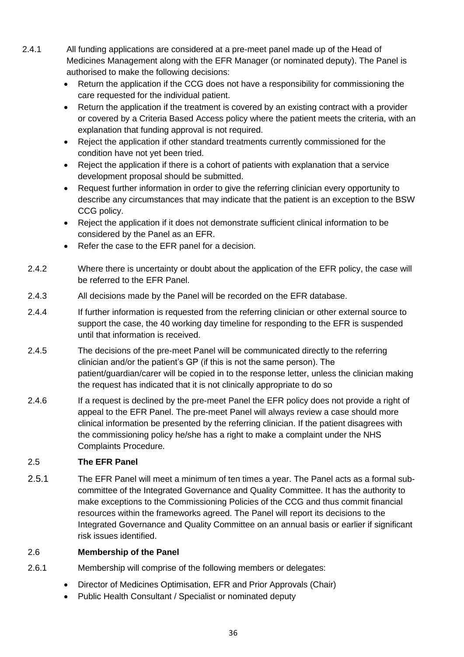- 2.4.1 All funding applications are considered at a pre-meet panel made up of the Head of Medicines Management along with the EFR Manager (or nominated deputy). The Panel is authorised to make the following decisions:
	- Return the application if the CCG does not have a responsibility for commissioning the care requested for the individual patient.
	- Return the application if the treatment is covered by an existing contract with a provider or covered by a Criteria Based Access policy where the patient meets the criteria, with an explanation that funding approval is not required.
	- Reject the application if other standard treatments currently commissioned for the condition have not yet been tried.
	- Reject the application if there is a cohort of patients with explanation that a service development proposal should be submitted.
	- Request further information in order to give the referring clinician every opportunity to describe any circumstances that may indicate that the patient is an exception to the BSW CCG policy.
	- Reject the application if it does not demonstrate sufficient clinical information to be considered by the Panel as an EFR.
	- Refer the case to the EFR panel for a decision.
	- 2.4.2 Where there is uncertainty or doubt about the application of the EFR policy, the case will be referred to the EFR Panel.
	- 2.4.3 All decisions made by the Panel will be recorded on the EFR database.
	- 2.4.4 If further information is requested from the referring clinician or other external source to support the case, the 40 working day timeline for responding to the EFR is suspended until that information is received.
	- 2.4.5 The decisions of the pre-meet Panel will be communicated directly to the referring clinician and/or the patient's GP (if this is not the same person). The patient/guardian/carer will be copied in to the response letter, unless the clinician making the request has indicated that it is not clinically appropriate to do so
	- 2.4.6 If a request is declined by the pre-meet Panel the EFR policy does not provide a right of appeal to the EFR Panel. The pre-meet Panel will always review a case should more clinical information be presented by the referring clinician. If the patient disagrees with the commissioning policy he/she has a right to make a complaint under the NHS Complaints Procedure.

## 2.5 **The EFR Panel**

2.5.1 The EFR Panel will meet a minimum of ten times a year. The Panel acts as a formal subcommittee of the Integrated Governance and Quality Committee. It has the authority to make exceptions to the Commissioning Policies of the CCG and thus commit financial resources within the frameworks agreed. The Panel will report its decisions to the Integrated Governance and Quality Committee on an annual basis or earlier if significant risk issues identified.

#### 2.6 **Membership of the Panel**

- 2.6.1 Membership will comprise of the following members or delegates:
	- Director of Medicines Optimisation, EFR and Prior Approvals (Chair)
	- Public Health Consultant / Specialist or nominated deputy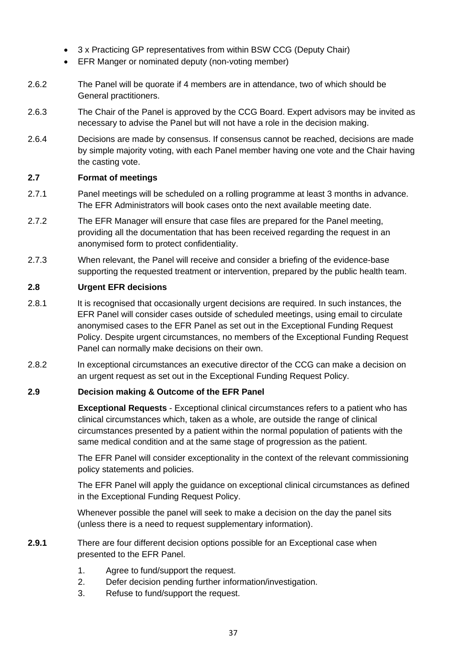- 3 x Practicing GP representatives from within BSW CCG (Deputy Chair)
- EFR Manger or nominated deputy (non-voting member)
- 2.6.2 The Panel will be quorate if 4 members are in attendance, two of which should be General practitioners.
- 2.6.3 The Chair of the Panel is approved by the CCG Board. Expert advisors may be invited as necessary to advise the Panel but will not have a role in the decision making.
- 2.6.4 Decisions are made by consensus. If consensus cannot be reached, decisions are made by simple majority voting, with each Panel member having one vote and the Chair having the casting vote.

#### **2.7 Format of meetings**

- 2.7.1 Panel meetings will be scheduled on a rolling programme at least 3 months in advance. The EFR Administrators will book cases onto the next available meeting date.
- 2.7.2 The EFR Manager will ensure that case files are prepared for the Panel meeting, providing all the documentation that has been received regarding the request in an anonymised form to protect confidentiality.
- 2.7.3 When relevant, the Panel will receive and consider a briefing of the evidence-base supporting the requested treatment or intervention, prepared by the public health team.

#### **2.8 Urgent EFR decisions**

- 2.8.1 It is recognised that occasionally urgent decisions are required. In such instances, the EFR Panel will consider cases outside of scheduled meetings, using email to circulate anonymised cases to the EFR Panel as set out in the Exceptional Funding Request Policy. Despite urgent circumstances, no members of the Exceptional Funding Request Panel can normally make decisions on their own.
- 2.8.2 In exceptional circumstances an executive director of the CCG can make a decision on an urgent request as set out in the Exceptional Funding Request Policy.

#### **2.9 Decision making & Outcome of the EFR Panel**

**Exceptional Requests** - Exceptional clinical circumstances refers to a patient who has clinical circumstances which, taken as a whole, are outside the range of clinical circumstances presented by a patient within the normal population of patients with the same medical condition and at the same stage of progression as the patient.

The EFR Panel will consider exceptionality in the context of the relevant commissioning policy statements and policies.

The EFR Panel will apply the guidance on exceptional clinical circumstances as defined in the Exceptional Funding Request Policy.

Whenever possible the panel will seek to make a decision on the day the panel sits (unless there is a need to request supplementary information).

#### **2.9.1** There are four different decision options possible for an Exceptional case when presented to the EFR Panel.

- 1. Agree to fund/support the request.
- 2. Defer decision pending further information/investigation.
- 3. Refuse to fund/support the request.